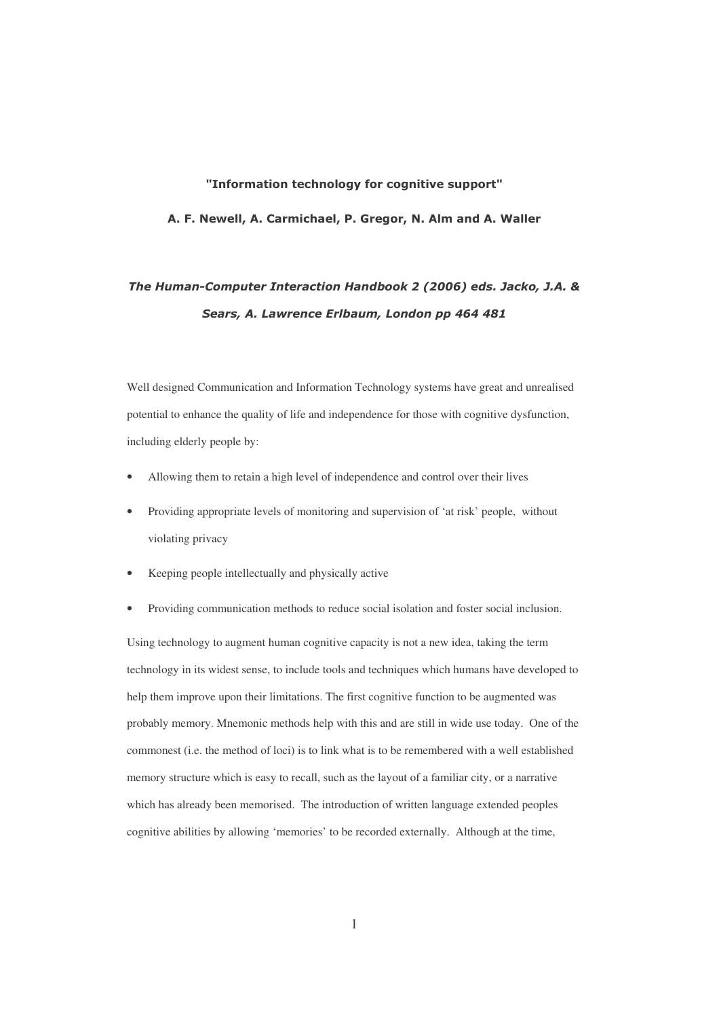#### "Information technology for cognitive support"

A. F. Newell, A. Carmichael, P. Gregor, N. Alm and A. Waller

# The Human-Computer Interaction Handbook 2 (2006) eds. Jacko, J.A. & Sears, A. Lawrence Erlbaum, London pp 464 481

Well designed Communication and Information Technology systems have great and unrealised potential to enhance the quality of life and independence for those with cognitive dysfunction, including elderly people by:

- Allowing them to retain a high level of independence and control over their lives
- Providing appropriate levels of monitoring and supervision of 'at risk' people, without violating privacy
- Keeping people intellectually and physically active
- Providing communication methods to reduce social isolation and foster social inclusion.

Using technology to augment human cognitive capacity is not a new idea, taking the term technology in its widest sense, to include tools and techniques which humans have developed to help them improve upon their limitations. The first cognitive function to be augmented was probably memory. Mnemonic methods help with this and are still in wide use today. One of the commonest (i.e. the method of loci) is to link what is to be remembered with a well established memory structure which is easy to recall, such as the layout of a familiar city, or a narrative which has already been memorised. The introduction of written language extended peoples cognitive abilities by allowing 'memories' to be recorded externally. Although at the time,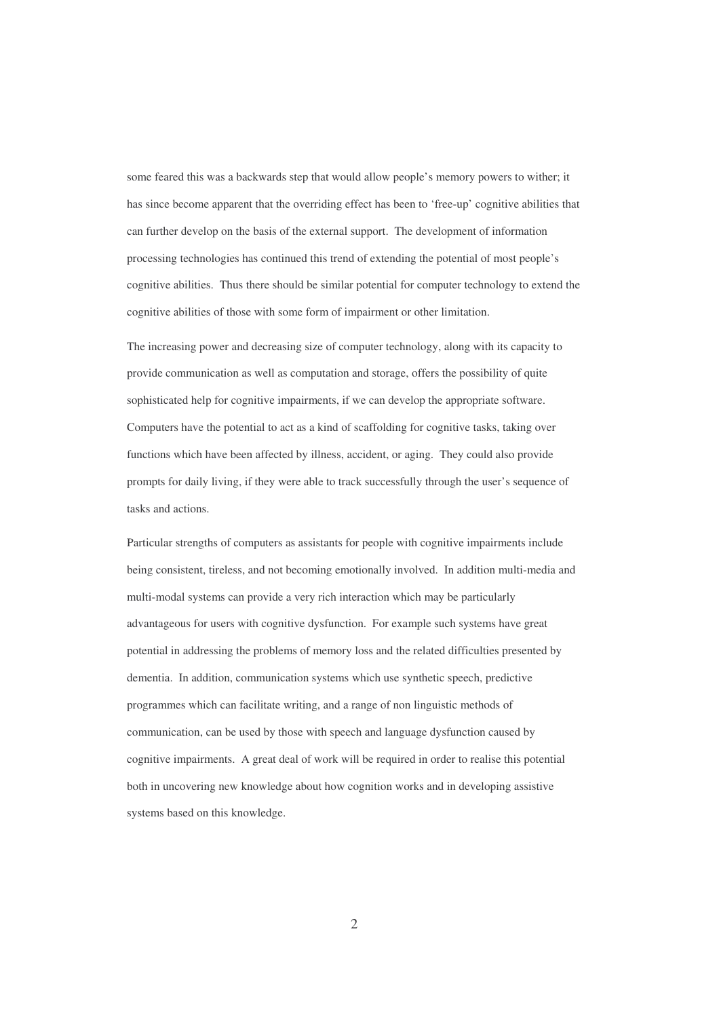some feared this was a backwards step that would allow people's memory powers to wither; it has since become apparent that the overriding effect has been to 'free-up' cognitive abilities that can further develop on the basis of the external support. The development of information processing technologies has continued this trend of extending the potential of most people's cognitive abilities. Thus there should be similar potential for computer technology to extend the cognitive abilities of those with some form of impairment or other limitation.

The increasing power and decreasing size of computer technology, along with its capacity to provide communication as well as computation and storage, offers the possibility of quite sophisticated help for cognitive impairments, if we can develop the appropriate software. Computers have the potential to act as a kind of scaffolding for cognitive tasks, taking over functions which have been affected by illness, accident, or aging. They could also provide prompts for daily living, if they were able to track successfully through the user's sequence of tasks and actions.

Particular strengths of computers as assistants for people with cognitive impairments include being consistent, tireless, and not becoming emotionally involved. In addition multi-media and multi-modal systems can provide a very rich interaction which may be particularly advantageous for users with cognitive dysfunction. For example such systems have great potential in addressing the problems of memory loss and the related difficulties presented by dementia. In addition, communication systems which use synthetic speech, predictive programmes which can facilitate writing, and a range of non linguistic methods of communication, can be used by those with speech and language dysfunction caused by cognitive impairments. A great deal of work will be required in order to realise this potential both in uncovering new knowledge about how cognition works and in developing assistive systems based on this knowledge.

2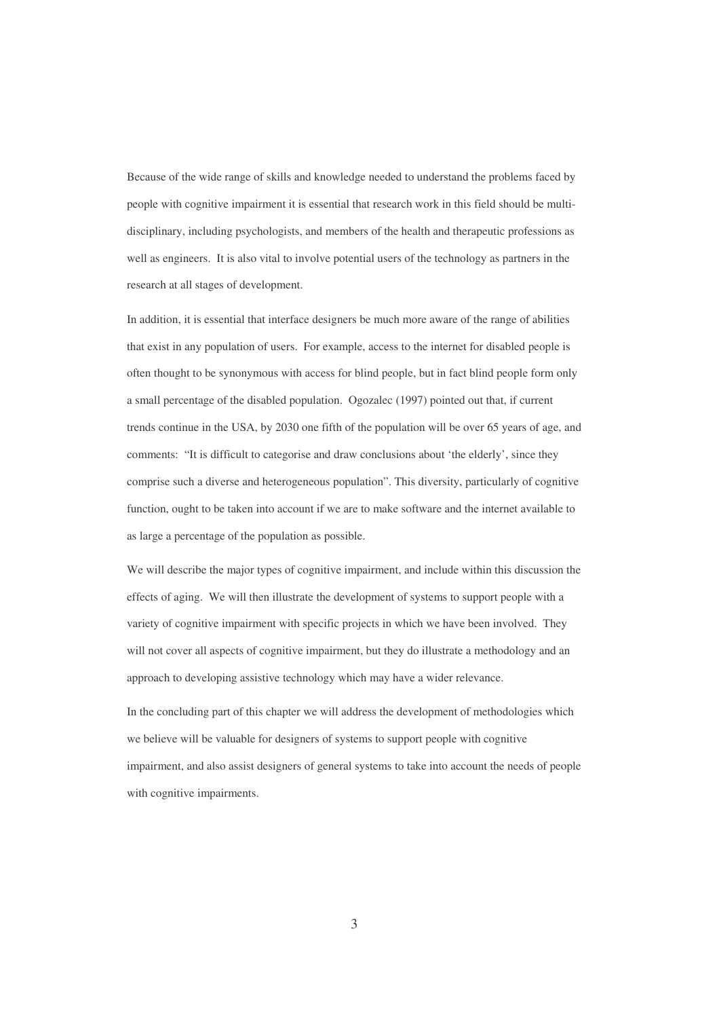Because of the wide range of skills and knowledge needed to understand the problems faced by people with cognitive impairment it is essential that research work in this field should be multidisciplinary, including psychologists, and members of the health and therapeutic professions as well as engineers. It is also vital to involve potential users of the technology as partners in the research at all stages of development.

In addition, it is essential that interface designers be much more aware of the range of abilities that exist in any population of users. For example, access to the internet for disabled people is often thought to be synonymous with access for blind people, but in fact blind people form only a small percentage of the disabled population. Ogozalec (1997) pointed out that, if current trends continue in the USA, by 2030 one fifth of the population will be over 65 years of age, and comments: "It is difficult to categorise and draw conclusions about 'the elderly', since they comprise such a diverse and heterogeneous population". This diversity, particularly of cognitive function, ought to be taken into account if we are to make software and the internet available to as large a percentage of the population as possible.

We will describe the major types of cognitive impairment, and include within this discussion the effects of aging. We will then illustrate the development of systems to support people with a variety of cognitive impairment with specific projects in which we have been involved. They will not cover all aspects of cognitive impairment, but they do illustrate a methodology and an approach to developing assistive technology which may have a wider relevance.

In the concluding part of this chapter we will address the development of methodologies which we believe will be valuable for designers of systems to support people with cognitive impairment, and also assist designers of general systems to take into account the needs of people with cognitive impairments.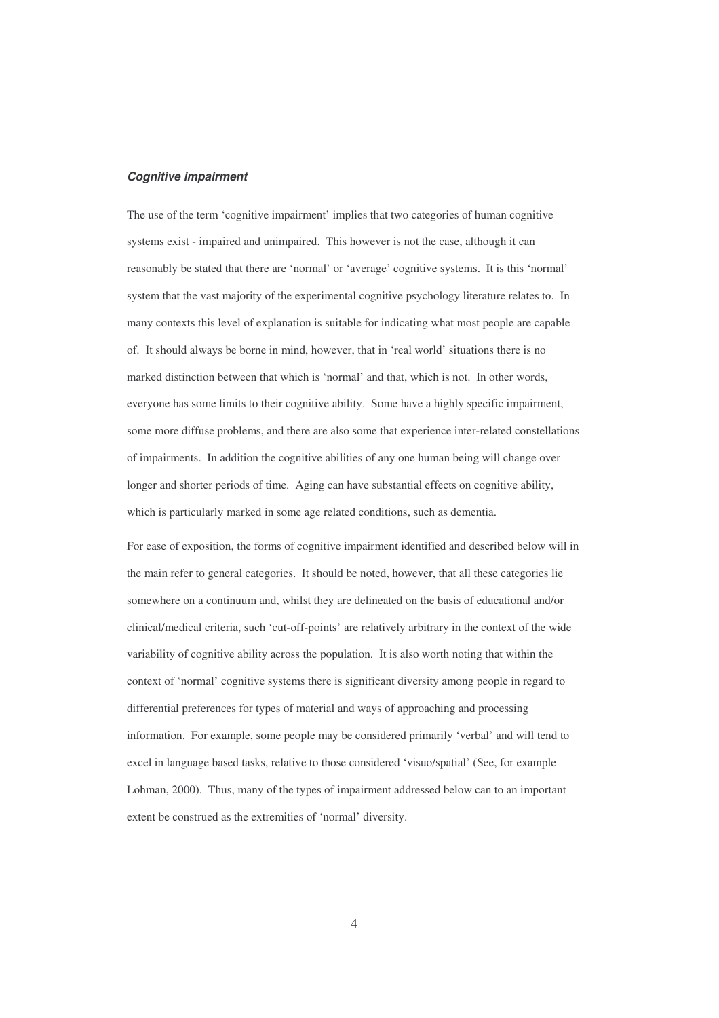### *Cognitive impairment*

The use of the term 'cognitive impairment' implies that two categories of human cognitive systems exist - impaired and unimpaired. This however is not the case, although it can reasonably be stated that there are 'normal' or 'average' cognitive systems. It is this 'normal' system that the vast majority of the experimental cognitive psychology literature relates to. In many contexts this level of explanation is suitable for indicating what most people are capable of. It should always be borne in mind, however, that in 'real world' situations there is no marked distinction between that which is 'normal' and that, which is not. In other words, everyone has some limits to their cognitive ability. Some have a highly specific impairment, some more diffuse problems, and there are also some that experience inter-related constellations of impairments. In addition the cognitive abilities of any one human being will change over longer and shorter periods of time. Aging can have substantial effects on cognitive ability, which is particularly marked in some age related conditions, such as dementia.

For ease of exposition, the forms of cognitive impairment identified and described below will in the main refer to general categories. It should be noted, however, that all these categories lie somewhere on a continuum and, whilst they are delineated on the basis of educational and/or clinical/medical criteria, such 'cut-off-points' are relatively arbitrary in the context of the wide variability of cognitive ability across the population. It is also worth noting that within the context of 'normal' cognitive systems there is significant diversity among people in regard to differential preferences for types of material and ways of approaching and processing information. For example, some people may be considered primarily 'verbal' and will tend to excel in language based tasks, relative to those considered 'visuo/spatial' (See, for example Lohman, 2000). Thus, many of the types of impairment addressed below can to an important extent be construed as the extremities of 'normal' diversity.

4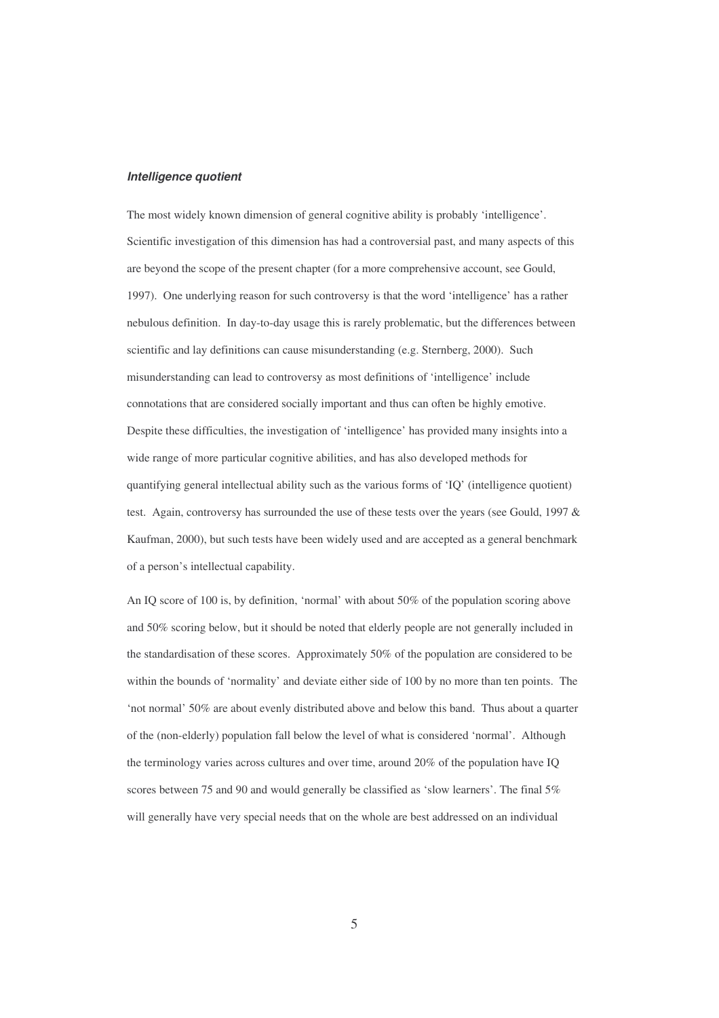#### *Intelligence quotient*

The most widely known dimension of general cognitive ability is probably 'intelligence'. Scientific investigation of this dimension has had a controversial past, and many aspects of this are beyond the scope of the present chapter (for a more comprehensive account, see Gould, 1997). One underlying reason for such controversy is that the word 'intelligence' has a rather nebulous definition. In day-to-day usage this is rarely problematic, but the differences between scientific and lay definitions can cause misunderstanding (e.g. Sternberg, 2000). Such misunderstanding can lead to controversy as most definitions of 'intelligence' include connotations that are considered socially important and thus can often be highly emotive. Despite these difficulties, the investigation of 'intelligence' has provided many insights into a wide range of more particular cognitive abilities, and has also developed methods for quantifying general intellectual ability such as the various forms of 'IQ' (intelligence quotient) test. Again, controversy has surrounded the use of these tests over the years (see Gould, 1997 & Kaufman, 2000), but such tests have been widely used and are accepted as a general benchmark of a person's intellectual capability.

An IQ score of 100 is, by definition, 'normal' with about 50% of the population scoring above and 50% scoring below, but it should be noted that elderly people are not generally included in the standardisation of these scores. Approximately 50% of the population are considered to be within the bounds of 'normality' and deviate either side of 100 by no more than ten points. The 'not normal' 50% are about evenly distributed above and below this band. Thus about a quarter of the (non-elderly) population fall below the level of what is considered 'normal'. Although the terminology varies across cultures and over time, around 20% of the population have IQ scores between 75 and 90 and would generally be classified as 'slow learners'. The final 5% will generally have very special needs that on the whole are best addressed on an individual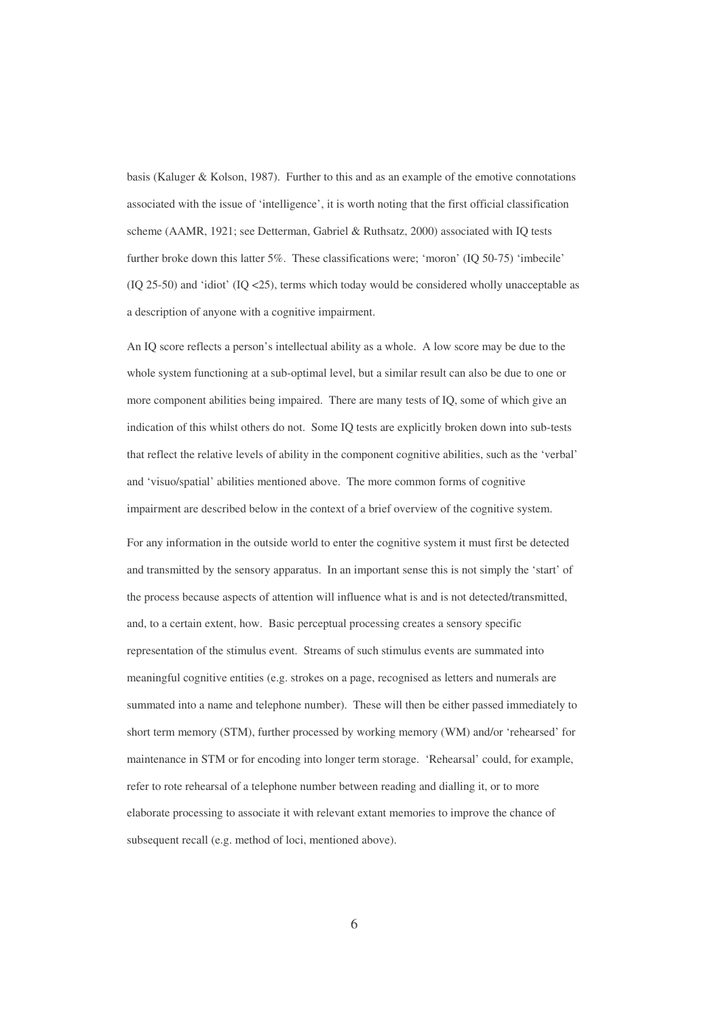basis (Kaluger & Kolson, 1987). Further to this and as an example of the emotive connotations associated with the issue of 'intelligence', it is worth noting that the first official classification scheme (AAMR, 1921; see Detterman, Gabriel & Ruthsatz, 2000) associated with IQ tests further broke down this latter 5%. These classifications were; 'moron' (IQ 50-75) 'imbecile'  $(IO 25-50)$  and 'idiot'  $(IO < 25)$ , terms which today would be considered wholly unacceptable as a description of anyone with a cognitive impairment.

An IQ score reflects a person's intellectual ability as a whole. A low score may be due to the whole system functioning at a sub-optimal level, but a similar result can also be due to one or more component abilities being impaired. There are many tests of IQ, some of which give an indication of this whilst others do not. Some IQ tests are explicitly broken down into sub-tests that reflect the relative levels of ability in the component cognitive abilities, such as the 'verbal' and 'visuo/spatial' abilities mentioned above. The more common forms of cognitive impairment are described below in the context of a brief overview of the cognitive system.

For any information in the outside world to enter the cognitive system it must first be detected and transmitted by the sensory apparatus. In an important sense this is not simply the 'start' of the process because aspects of attention will influence what is and is not detected/transmitted, and, to a certain extent, how. Basic perceptual processing creates a sensory specific representation of the stimulus event. Streams of such stimulus events are summated into meaningful cognitive entities (e.g. strokes on a page, recognised as letters and numerals are summated into a name and telephone number). These will then be either passed immediately to short term memory (STM), further processed by working memory (WM) and/or 'rehearsed' for maintenance in STM or for encoding into longer term storage. 'Rehearsal' could, for example, refer to rote rehearsal of a telephone number between reading and dialling it, or to more elaborate processing to associate it with relevant extant memories to improve the chance of subsequent recall (e.g. method of loci, mentioned above).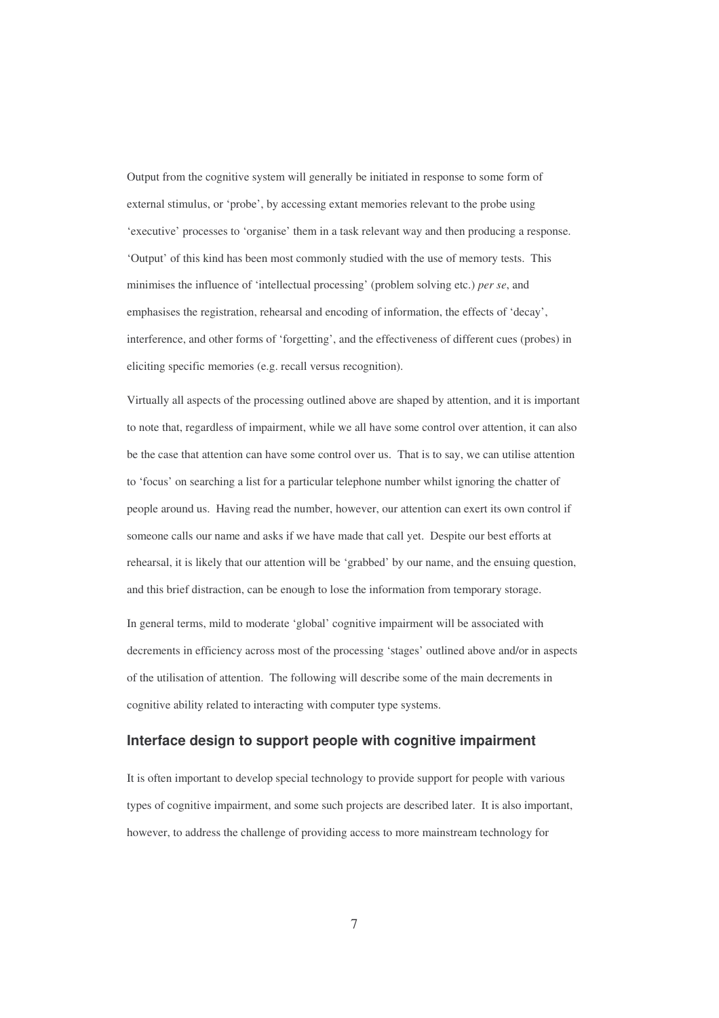Output from the cognitive system will generally be initiated in response to some form of external stimulus, or 'probe', by accessing extant memories relevant to the probe using 'executive' processes to 'organise' them in a task relevant way and then producing a response. 'Output' of this kind has been most commonly studied with the use of memory tests. This minimises the influence of 'intellectual processing' (problem solving etc.) *per se*, and emphasises the registration, rehearsal and encoding of information, the effects of 'decay', interference, and other forms of 'forgetting', and the effectiveness of different cues (probes) in eliciting specific memories (e.g. recall versus recognition).

Virtually all aspects of the processing outlined above are shaped by attention, and it is important to note that, regardless of impairment, while we all have some control over attention, it can also be the case that attention can have some control over us. That is to say, we can utilise attention to 'focus' on searching a list for a particular telephone number whilst ignoring the chatter of people around us. Having read the number, however, our attention can exert its own control if someone calls our name and asks if we have made that call yet. Despite our best efforts at rehearsal, it is likely that our attention will be 'grabbed' by our name, and the ensuing question, and this brief distraction, can be enough to lose the information from temporary storage. In general terms, mild to moderate 'global' cognitive impairment will be associated with decrements in efficiency across most of the processing 'stages' outlined above and/or in aspects of the utilisation of attention. The following will describe some of the main decrements in cognitive ability related to interacting with computer type systems.

# **Interface design to support people with cognitive impairment**

It is often important to develop special technology to provide support for people with various types of cognitive impairment, and some such projects are described later. It is also important, however, to address the challenge of providing access to more mainstream technology for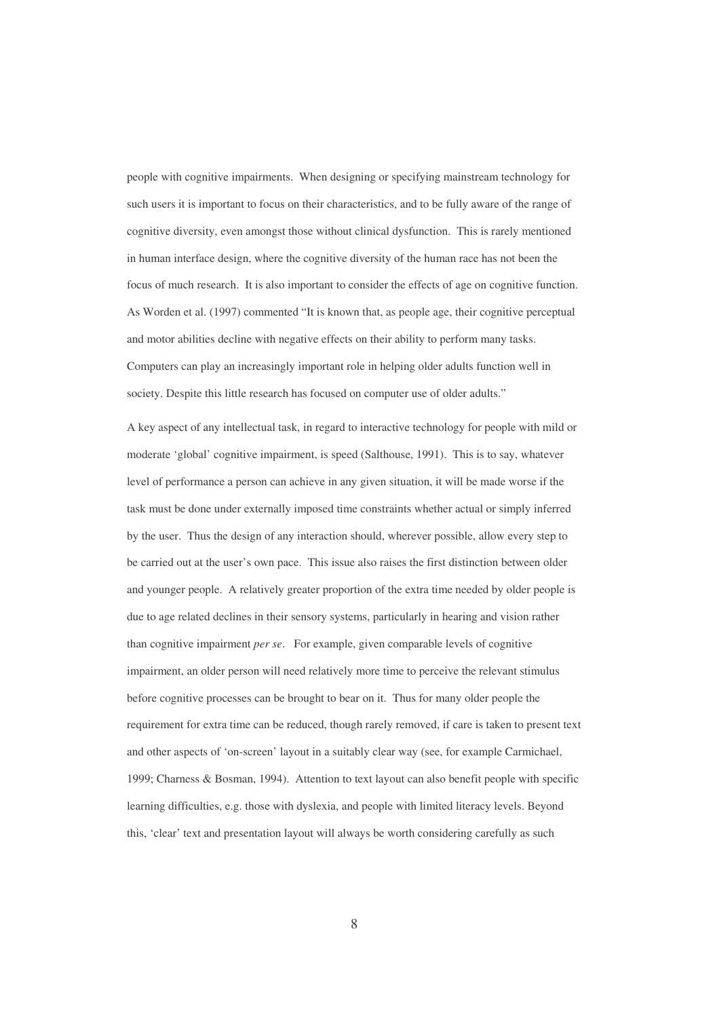people with cognitive impairments. When designing or specifying mainstream technology for such users it is important to focus on their characteristics, and to be fully aware of the range of cognitive diversity, even amongst those without clinical dysfunction. This is rarely mentioned in human interface design, where the cognitive diversity of the human race has not been the focus of much research. It is also important to consider the effects of age on cognitive function. As Worden et al. (1997) commented "It is known that, as people age, their cognitive perceptual and motor abilities decline with negative effects on their ability to perform many tasks. Computers can play an increasingly important role in helping older adults function well in society. Despite this little research has focused on computer use of older adults."

A key aspect of any intellectual task, in regard to interactive technology for people with mild or moderate 'global' cognitive impairment, is speed (Salthouse, 1991). This is to say, whatever level of performance a person can achieve in any given situation, it will be made worse if the task must be done under externally imposed time constraints whether actual or simply inferred by the user. Thus the design of any interaction should, wherever possible, allow every step to be carried out at the user's own pace. This issue also raises the first distinction between older and younger people. A relatively greater proportion of the extra time needed by older people is due to age related declines in their sensory systems, particularly in hearing and vision rather than cognitive impairment *per se*. For example, given comparable levels of cognitive impairment, an older person will need relatively more time to perceive the relevant stimulus before cognitive processes can be brought to bear on it. Thus for many older people the requirement for extra time can be reduced, though rarely removed, if care is taken to present text and other aspects of 'on-screen' layout in a suitably clear way (see, for example Carmichael, 1999; Charness & Bosman, 1994). Attention to text layout can also benefit people with specific learning difficulties, e.g. those with dyslexia, and people with limited literacy levels. Beyond this, 'clear' text and presentation layout will always be worth considering carefully as such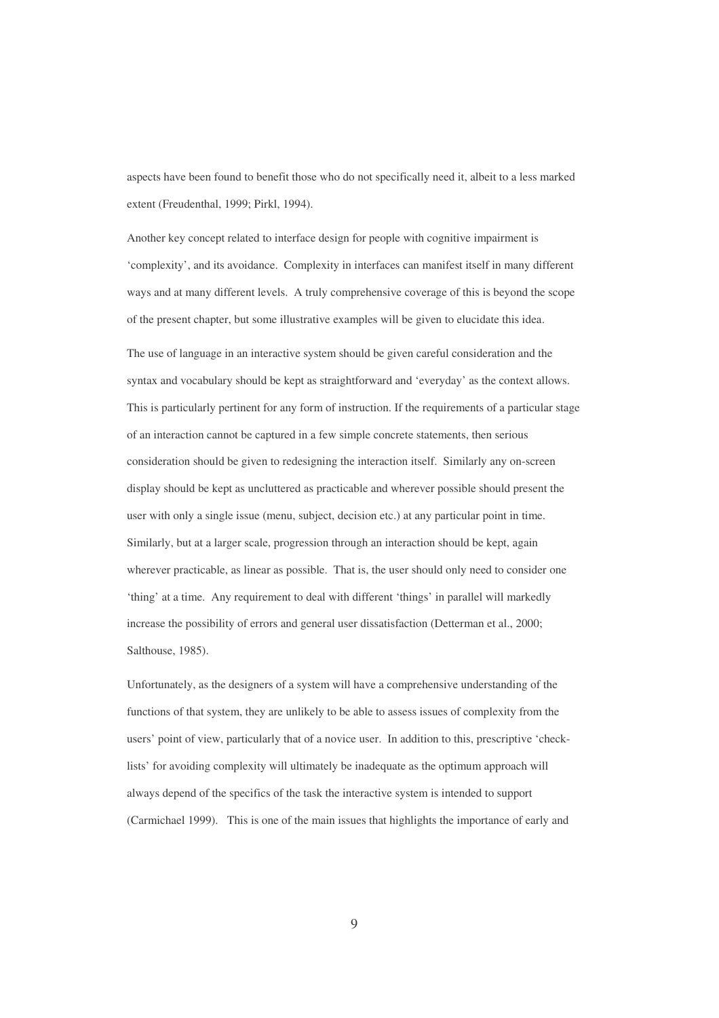aspects have been found to benefit those who do not specifically need it, albeit to a less marked extent (Freudenthal, 1999; Pirkl, 1994).

Another key concept related to interface design for people with cognitive impairment is 'complexity', and its avoidance. Complexity in interfaces can manifest itself in many different ways and at many different levels. A truly comprehensive coverage of this is beyond the scope of the present chapter, but some illustrative examples will be given to elucidate this idea.

The use of language in an interactive system should be given careful consideration and the syntax and vocabulary should be kept as straightforward and 'everyday' as the context allows. This is particularly pertinent for any form of instruction. If the requirements of a particular stage of an interaction cannot be captured in a few simple concrete statements, then serious consideration should be given to redesigning the interaction itself. Similarly any on-screen display should be kept as uncluttered as practicable and wherever possible should present the user with only a single issue (menu, subject, decision etc.) at any particular point in time. Similarly, but at a larger scale, progression through an interaction should be kept, again wherever practicable, as linear as possible. That is, the user should only need to consider one 'thing' at a time. Any requirement to deal with different 'things' in parallel will markedly increase the possibility of errors and general user dissatisfaction (Detterman et al., 2000; Salthouse, 1985).

Unfortunately, as the designers of a system will have a comprehensive understanding of the functions of that system, they are unlikely to be able to assess issues of complexity from the users' point of view, particularly that of a novice user. In addition to this, prescriptive 'checklists' for avoiding complexity will ultimately be inadequate as the optimum approach will always depend of the specifics of the task the interactive system is intended to support (Carmichael 1999). This is one of the main issues that highlights the importance of early and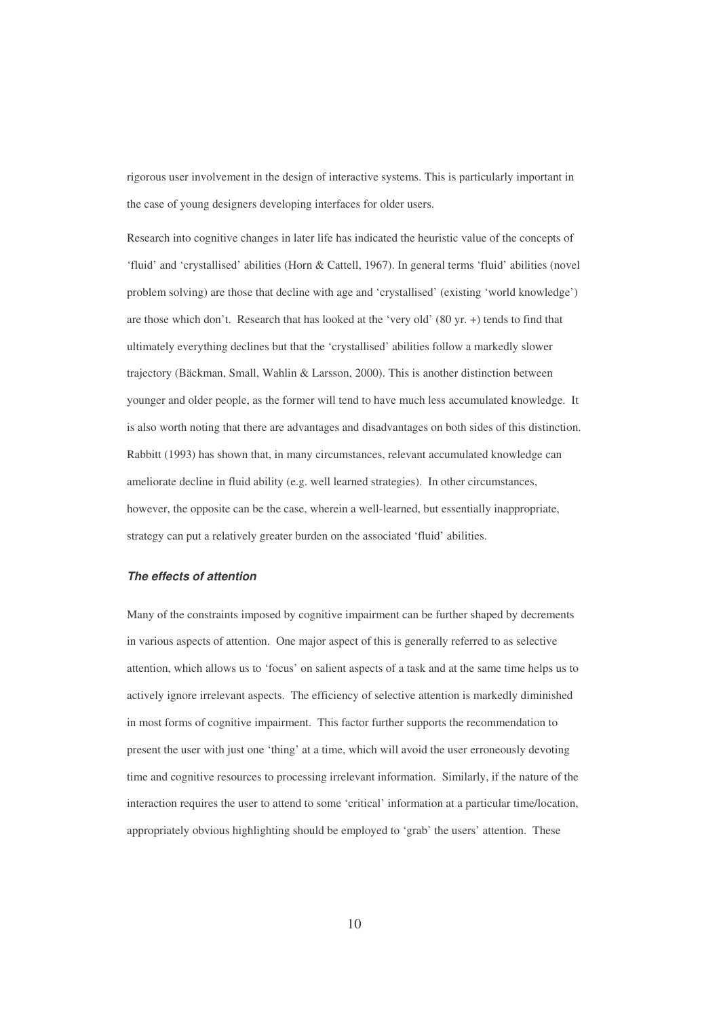rigorous user involvement in the design of interactive systems. This is particularly important in the case of young designers developing interfaces for older users.

Research into cognitive changes in later life has indicated the heuristic value of the concepts of 'fluid' and 'crystallised' abilities (Horn & Cattell, 1967). In general terms 'fluid' abilities (novel problem solving) are those that decline with age and 'crystallised' (existing 'world knowledge') are those which don't. Research that has looked at the 'very old' (80 yr. +) tends to find that ultimately everything declines but that the 'crystallised' abilities follow a markedly slower trajectory (Bäckman, Small, Wahlin & Larsson, 2000). This is another distinction between younger and older people, as the former will tend to have much less accumulated knowledge. It is also worth noting that there are advantages and disadvantages on both sides of this distinction. Rabbitt (1993) has shown that, in many circumstances, relevant accumulated knowledge can ameliorate decline in fluid ability (e.g. well learned strategies). In other circumstances, however, the opposite can be the case, wherein a well-learned, but essentially inappropriate, strategy can put a relatively greater burden on the associated 'fluid' abilities.

### *The effects of attention*

Many of the constraints imposed by cognitive impairment can be further shaped by decrements in various aspects of attention. One major aspect of this is generally referred to as selective attention, which allows us to 'focus' on salient aspects of a task and at the same time helps us to actively ignore irrelevant aspects. The efficiency of selective attention is markedly diminished in most forms of cognitive impairment. This factor further supports the recommendation to present the user with just one 'thing' at a time, which will avoid the user erroneously devoting time and cognitive resources to processing irrelevant information. Similarly, if the nature of the interaction requires the user to attend to some 'critical' information at a particular time/location, appropriately obvious highlighting should be employed to 'grab' the users' attention. These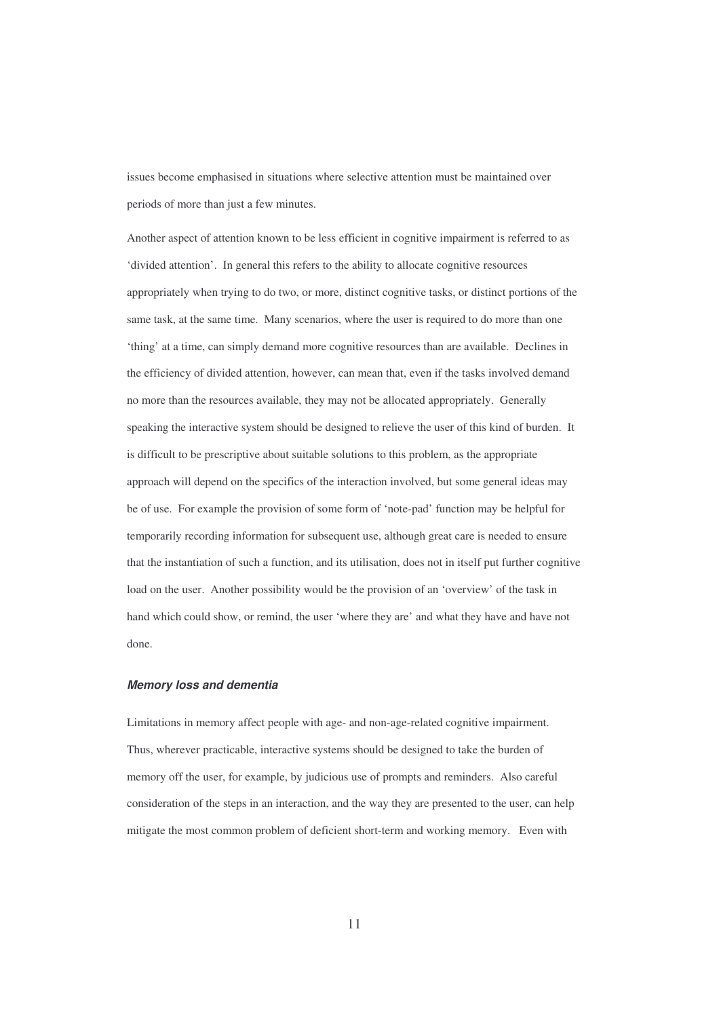issues become emphasised in situations where selective attention must be maintained over periods of more than just a few minutes.

Another aspect of attention known to be less efficient in cognitive impairment is referred to as 'divided attention'. In general this refers to the ability to allocate cognitive resources appropriately when trying to do two, or more, distinct cognitive tasks, or distinct portions of the same task, at the same time. Many scenarios, where the user is required to do more than one 'thing' at a time, can simply demand more cognitive resources than are available. Declines in the efficiency of divided attention, however, can mean that, even if the tasks involved demand no more than the resources available, they may not be allocated appropriately. Generally speaking the interactive system should be designed to relieve the user of this kind of burden. It is difficult to be prescriptive about suitable solutions to this problem, as the appropriate approach will depend on the specifics of the interaction involved, but some general ideas may be of use. For example the provision of some form of 'note-pad' function may be helpful for temporarily recording information for subsequent use, although great care is needed to ensure that the instantiation of such a function, and its utilisation, does not in itself put further cognitive load on the user. Another possibility would be the provision of an 'overview' of the task in hand which could show, or remind, the user 'where they are' and what they have and have not done.

### *Memory loss and dementia*

Limitations in memory affect people with age- and non-age-related cognitive impairment. Thus, wherever practicable, interactive systems should be designed to take the burden of memory off the user, for example, by judicious use of prompts and reminders. Also careful consideration of the steps in an interaction, and the way they are presented to the user, can help mitigate the most common problem of deficient short-term and working memory. Even with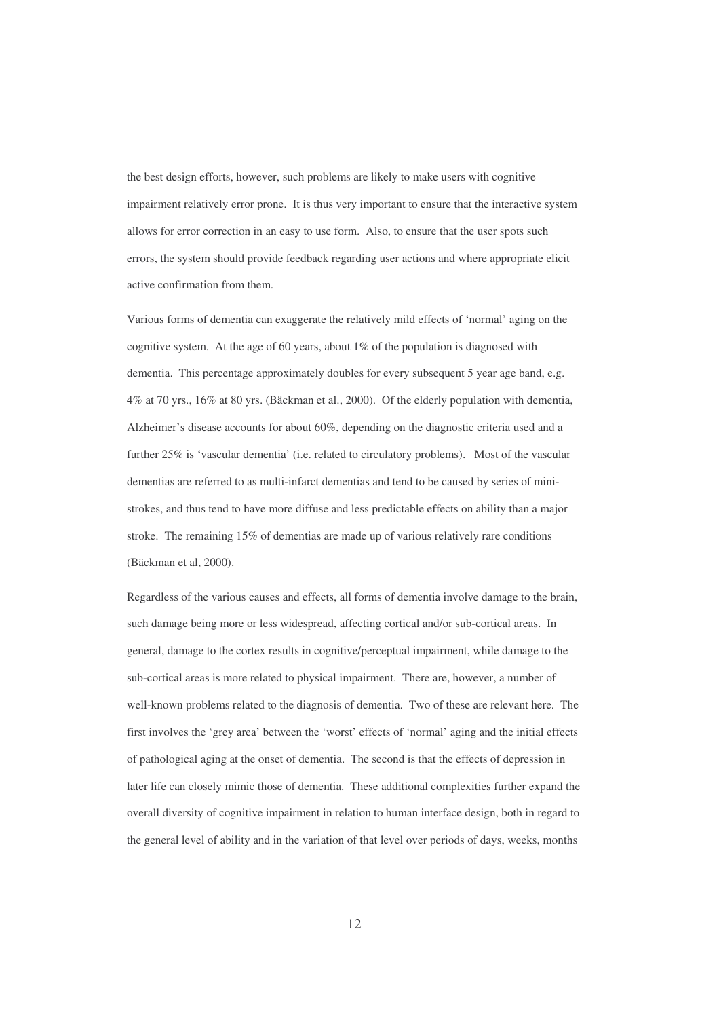the best design efforts, however, such problems are likely to make users with cognitive impairment relatively error prone. It is thus very important to ensure that the interactive system allows for error correction in an easy to use form. Also, to ensure that the user spots such errors, the system should provide feedback regarding user actions and where appropriate elicit active confirmation from them.

Various forms of dementia can exaggerate the relatively mild effects of 'normal' aging on the cognitive system. At the age of 60 years, about 1% of the population is diagnosed with dementia. This percentage approximately doubles for every subsequent 5 year age band, e.g. 4% at 70 yrs., 16% at 80 yrs. (Bäckman et al., 2000). Of the elderly population with dementia, Alzheimer's disease accounts for about 60%, depending on the diagnostic criteria used and a further 25% is 'vascular dementia' (i.e. related to circulatory problems). Most of the vascular dementias are referred to as multi-infarct dementias and tend to be caused by series of ministrokes, and thus tend to have more diffuse and less predictable effects on ability than a major stroke. The remaining 15% of dementias are made up of various relatively rare conditions (Bäckman et al, 2000).

Regardless of the various causes and effects, all forms of dementia involve damage to the brain, such damage being more or less widespread, affecting cortical and/or sub-cortical areas. In general, damage to the cortex results in cognitive/perceptual impairment, while damage to the sub-cortical areas is more related to physical impairment. There are, however, a number of well-known problems related to the diagnosis of dementia. Two of these are relevant here. The first involves the 'grey area' between the 'worst' effects of 'normal' aging and the initial effects of pathological aging at the onset of dementia. The second is that the effects of depression in later life can closely mimic those of dementia. These additional complexities further expand the overall diversity of cognitive impairment in relation to human interface design, both in regard to the general level of ability and in the variation of that level over periods of days, weeks, months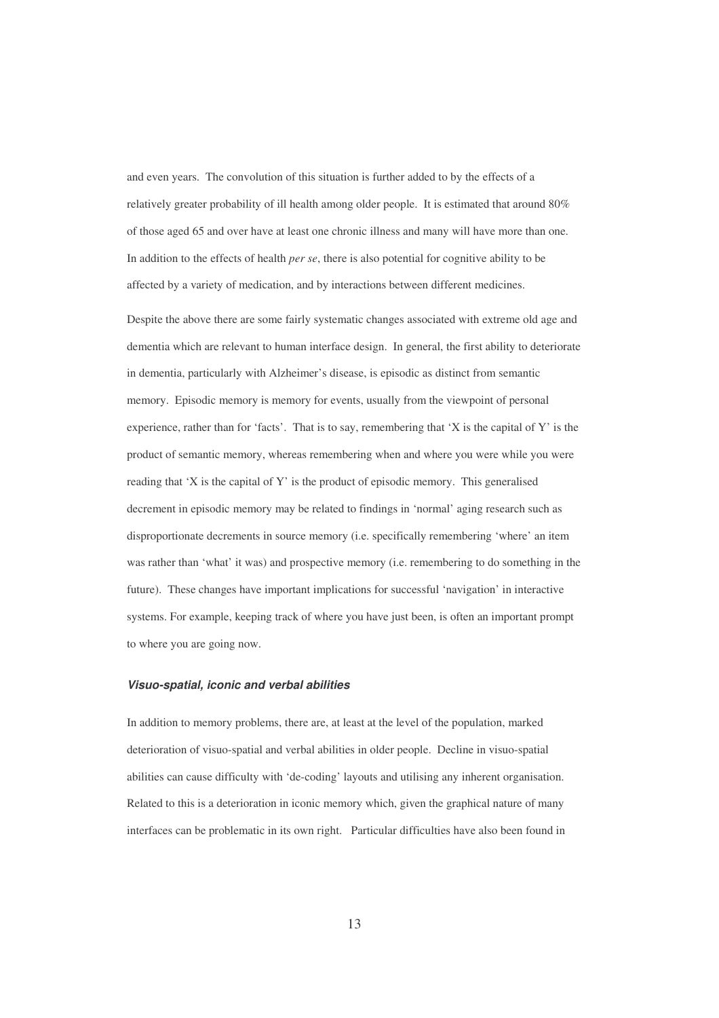and even years. The convolution of this situation is further added to by the effects of a relatively greater probability of ill health among older people. It is estimated that around 80% of those aged 65 and over have at least one chronic illness and many will have more than one. In addition to the effects of health *per se*, there is also potential for cognitive ability to be affected by a variety of medication, and by interactions between different medicines.

Despite the above there are some fairly systematic changes associated with extreme old age and dementia which are relevant to human interface design. In general, the first ability to deteriorate in dementia, particularly with Alzheimer's disease, is episodic as distinct from semantic memory. Episodic memory is memory for events, usually from the viewpoint of personal experience, rather than for 'facts'. That is to say, remembering that 'X is the capital of Y' is the product of semantic memory, whereas remembering when and where you were while you were reading that 'X is the capital of Y' is the product of episodic memory. This generalised decrement in episodic memory may be related to findings in 'normal' aging research such as disproportionate decrements in source memory (i.e. specifically remembering 'where' an item was rather than 'what' it was) and prospective memory (i.e. remembering to do something in the future). These changes have important implications for successful 'navigation' in interactive systems. For example, keeping track of where you have just been, is often an important prompt to where you are going now.

#### *Visuo-spatial, iconic and verbal abilities*

In addition to memory problems, there are, at least at the level of the population, marked deterioration of visuo-spatial and verbal abilities in older people. Decline in visuo-spatial abilities can cause difficulty with 'de-coding' layouts and utilising any inherent organisation. Related to this is a deterioration in iconic memory which, given the graphical nature of many interfaces can be problematic in its own right. Particular difficulties have also been found in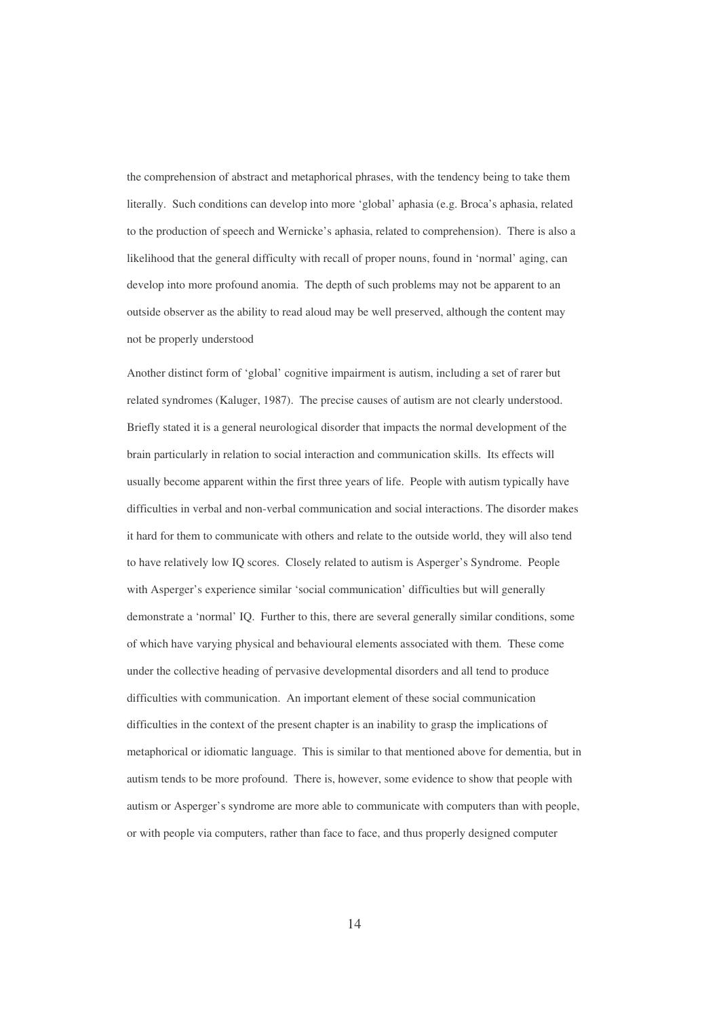the comprehension of abstract and metaphorical phrases, with the tendency being to take them literally. Such conditions can develop into more 'global' aphasia (e.g. Broca's aphasia, related to the production of speech and Wernicke's aphasia, related to comprehension). There is also a likelihood that the general difficulty with recall of proper nouns, found in 'normal' aging, can develop into more profound anomia. The depth of such problems may not be apparent to an outside observer as the ability to read aloud may be well preserved, although the content may not be properly understood

Another distinct form of 'global' cognitive impairment is autism, including a set of rarer but related syndromes (Kaluger, 1987). The precise causes of autism are not clearly understood. Briefly stated it is a general neurological disorder that impacts the normal development of the brain particularly in relation to social interaction and communication skills. Its effects will usually become apparent within the first three years of life. People with autism typically have difficulties in verbal and non-verbal communication and social interactions. The disorder makes it hard for them to communicate with others and relate to the outside world, they will also tend to have relatively low IQ scores. Closely related to autism is Asperger's Syndrome. People with Asperger's experience similar 'social communication' difficulties but will generally demonstrate a 'normal' IQ. Further to this, there are several generally similar conditions, some of which have varying physical and behavioural elements associated with them. These come under the collective heading of pervasive developmental disorders and all tend to produce difficulties with communication. An important element of these social communication difficulties in the context of the present chapter is an inability to grasp the implications of metaphorical or idiomatic language. This is similar to that mentioned above for dementia, but in autism tends to be more profound. There is, however, some evidence to show that people with autism or Asperger's syndrome are more able to communicate with computers than with people, or with people via computers, rather than face to face, and thus properly designed computer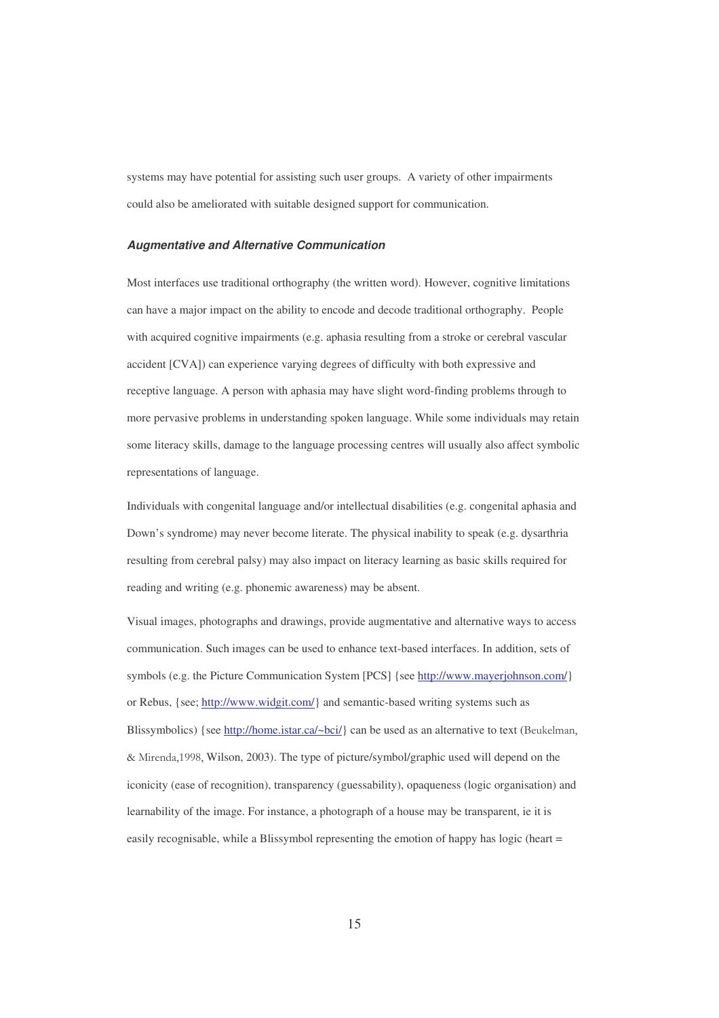systems may have potential for assisting such user groups. A variety of other impairments could also be ameliorated with suitable designed support for communication.

### *Augmentative and Alternative Communication*

Most interfaces use traditional orthography (the written word). However, cognitive limitations can have a major impact on the ability to encode and decode traditional orthography. People with acquired cognitive impairments (e.g. aphasia resulting from a stroke or cerebral vascular accident [CVA]) can experience varying degrees of difficulty with both expressive and receptive language. A person with aphasia may have slight word-finding problems through to more pervasive problems in understanding spoken language. While some individuals may retain some literacy skills, damage to the language processing centres will usually also affect symbolic representations of language.

Individuals with congenital language and/or intellectual disabilities (e.g. congenital aphasia and Down's syndrome) may never become literate. The physical inability to speak (e.g. dysarthria resulting from cerebral palsy) may also impact on literacy learning as basic skills required for reading and writing (e.g. phonemic awareness) may be absent.

Visual images, photographs and drawings, provide augmentative and alternative ways to access communication. Such images can be used to enhance text-based interfaces. In addition, sets of symbols (e.g. the Picture Communication System [PCS] {see http://www.mayerjohnson.com/} or Rebus, {see; http://www.widgit.com/} and semantic-based writing systems such as Blissymbolics) {see http://home.istar.ca/~bci/} can be used as an alternative to text (Beukelman, & Mirenda,1998, Wilson, 2003). The type of picture/symbol/graphic used will depend on the iconicity (ease of recognition), transparency (guessability), opaqueness (logic organisation) and learnability of the image. For instance, a photograph of a house may be transparent, ie it is easily recognisable, while a Blissymbol representing the emotion of happy has logic (heart =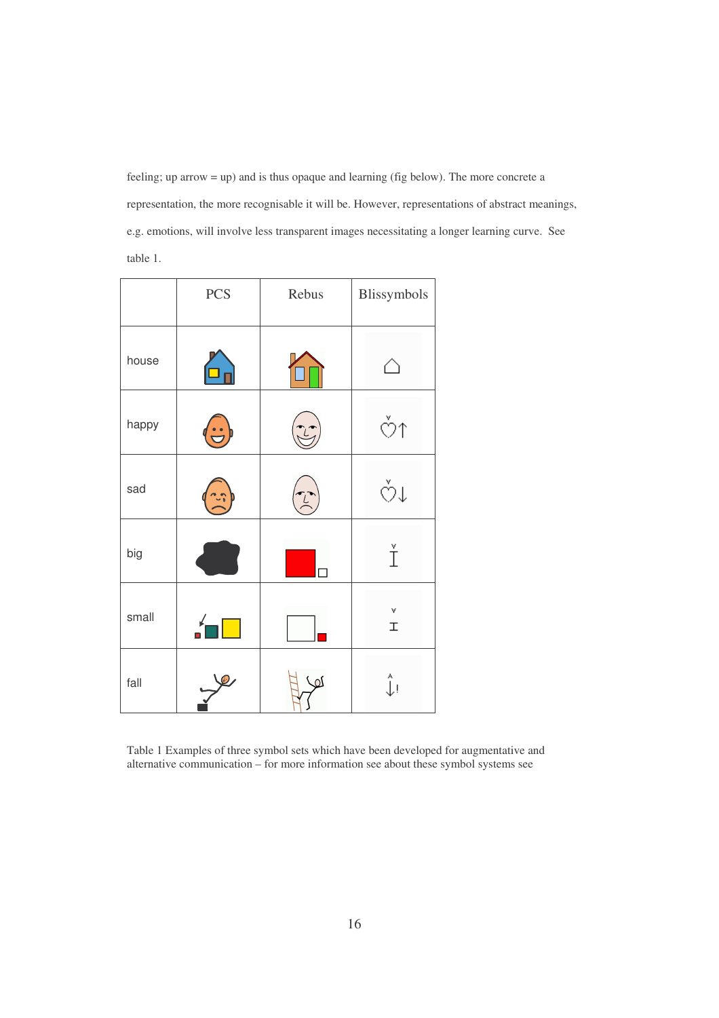feeling; up arrow = up) and is thus opaque and learning (fig below). The more concrete a representation, the more recognisable it will be. However, representations of abstract meanings, e.g. emotions, will involve less transparent images necessitating a longer learning curve. See table 1.

|       | <b>PCS</b>          | Rebus            | Blissymbols          |
|-------|---------------------|------------------|----------------------|
| house | 6)<br>0             |                  |                      |
| happy |                     |                  | $\bigcirc \uparrow$  |
| sad   |                     | $\sum_{i=1}^{n}$ | Č↓                   |
| big   |                     |                  | Ĭ                    |
| small | $\sqrt{\mathbf{D}}$ |                  | ٧<br>$\mathbf I$     |
| fall  | $\circledcirc$      |                  | $\hat{\downarrow}$ ! |

Table 1 Examples of three symbol sets which have been developed for augmentative and alternative communication – for more information see about these symbol systems see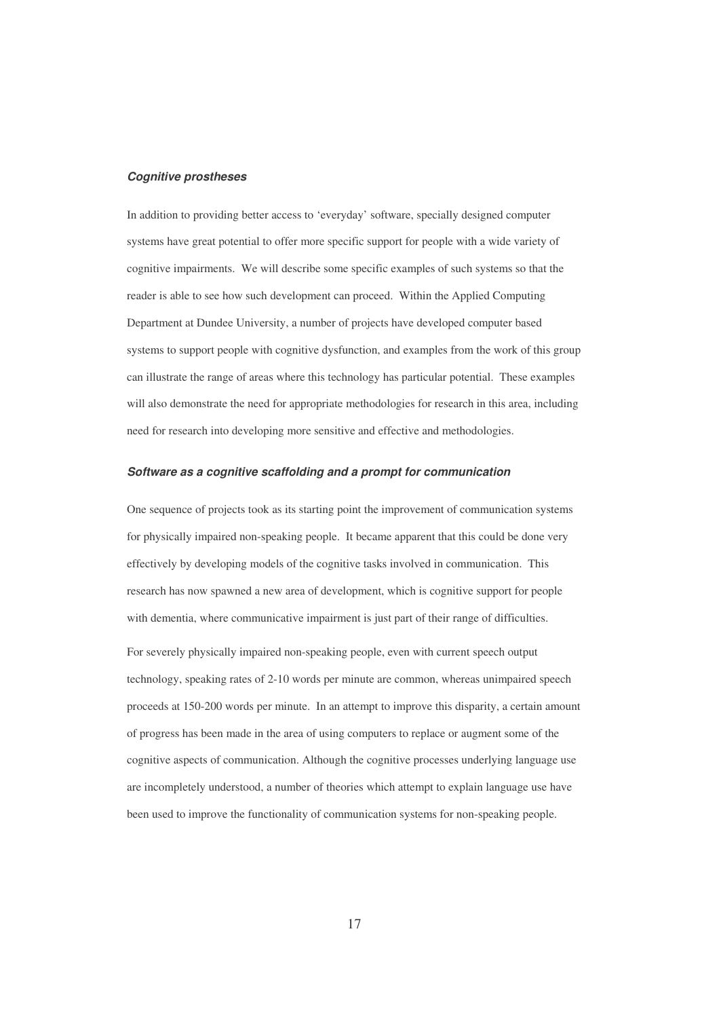### *Cognitive prostheses*

In addition to providing better access to 'everyday' software, specially designed computer systems have great potential to offer more specific support for people with a wide variety of cognitive impairments. We will describe some specific examples of such systems so that the reader is able to see how such development can proceed. Within the Applied Computing Department at Dundee University, a number of projects have developed computer based systems to support people with cognitive dysfunction, and examples from the work of this group can illustrate the range of areas where this technology has particular potential. These examples will also demonstrate the need for appropriate methodologies for research in this area, including need for research into developing more sensitive and effective and methodologies.

### *Software as a cognitive scaffolding and a prompt for communication*

One sequence of projects took as its starting point the improvement of communication systems for physically impaired non-speaking people. It became apparent that this could be done very effectively by developing models of the cognitive tasks involved in communication. This research has now spawned a new area of development, which is cognitive support for people with dementia, where communicative impairment is just part of their range of difficulties.

For severely physically impaired non-speaking people, even with current speech output technology, speaking rates of 2-10 words per minute are common, whereas unimpaired speech proceeds at 150-200 words per minute. In an attempt to improve this disparity, a certain amount of progress has been made in the area of using computers to replace or augment some of the cognitive aspects of communication. Although the cognitive processes underlying language use are incompletely understood, a number of theories which attempt to explain language use have been used to improve the functionality of communication systems for non-speaking people.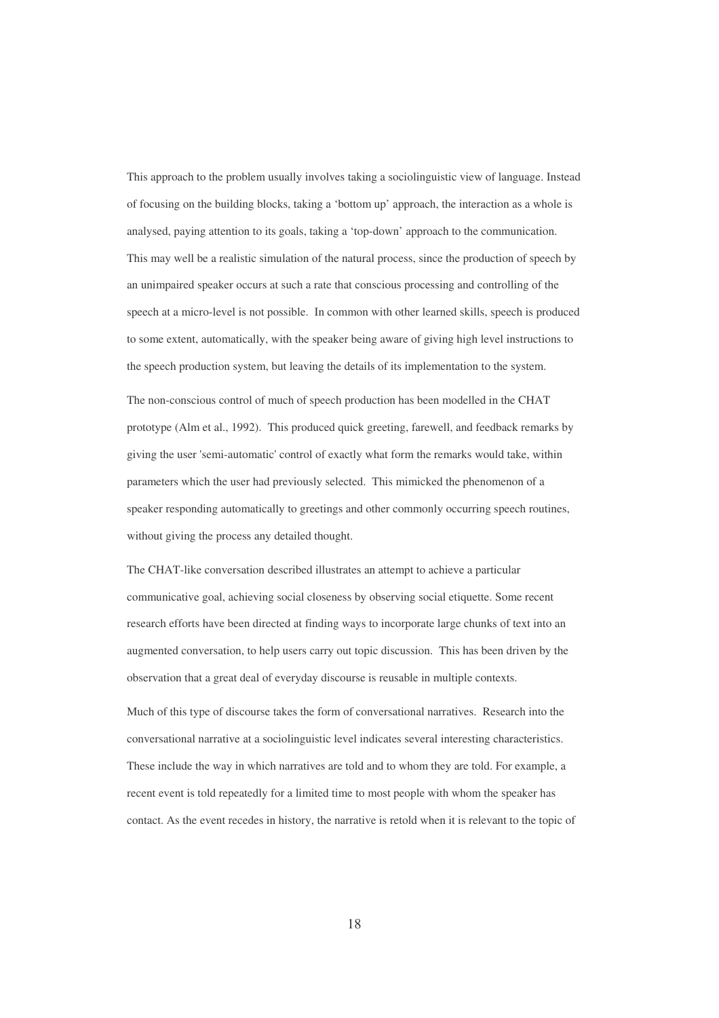This approach to the problem usually involves taking a sociolinguistic view of language. Instead of focusing on the building blocks, taking a 'bottom up' approach, the interaction as a whole is analysed, paying attention to its goals, taking a 'top-down' approach to the communication. This may well be a realistic simulation of the natural process, since the production of speech by an unimpaired speaker occurs at such a rate that conscious processing and controlling of the speech at a micro-level is not possible. In common with other learned skills, speech is produced to some extent, automatically, with the speaker being aware of giving high level instructions to the speech production system, but leaving the details of its implementation to the system.

The non-conscious control of much of speech production has been modelled in the CHAT prototype (Alm et al., 1992). This produced quick greeting, farewell, and feedback remarks by giving the user 'semi-automatic'control of exactly what form the remarks would take, within parameters which the user had previously selected. This mimicked the phenomenon of a speaker responding automatically to greetings and other commonly occurring speech routines, without giving the process any detailed thought.

The CHAT-like conversation described illustrates an attempt to achieve a particular communicative goal, achieving social closeness by observing social etiquette. Some recent research efforts have been directed at finding ways to incorporate large chunks of text into an augmented conversation, to help users carry out topic discussion. This has been driven by the observation that a great deal of everyday discourse is reusable in multiple contexts.

Much of this type of discourse takes the form of conversational narratives. Research into the conversational narrative at a sociolinguistic level indicates several interesting characteristics. These include the way in which narratives are told and to whom they are told. For example, a recent event is told repeatedly for a limited time to most people with whom the speaker has contact. As the event recedes in history, the narrative is retold when it is relevant to the topic of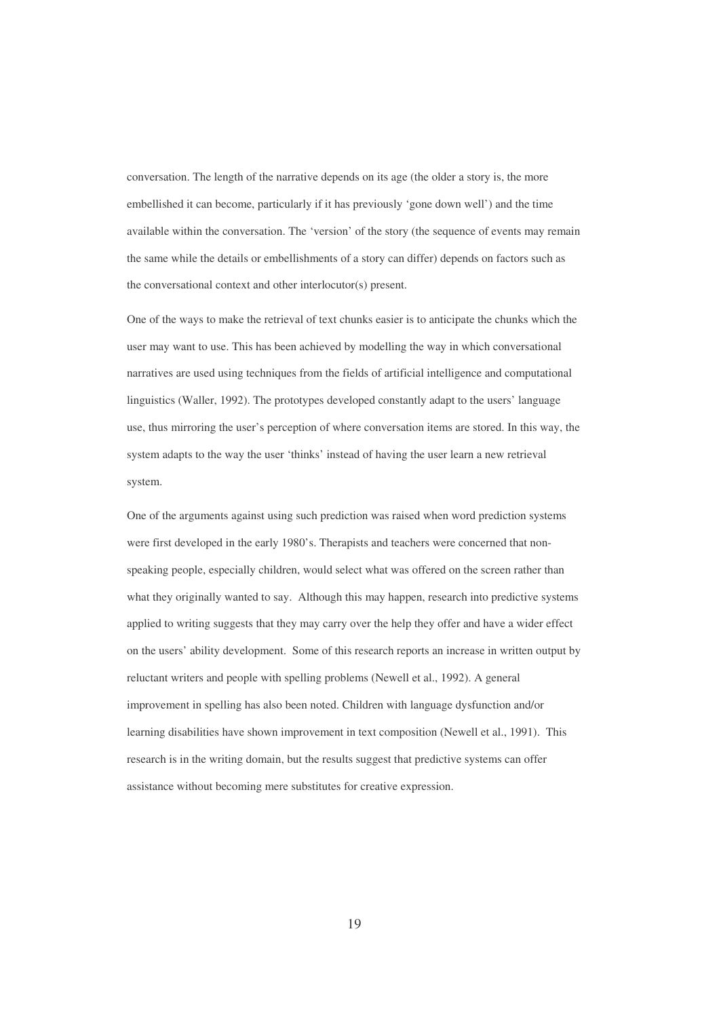conversation. The length of the narrative depends on its age (the older a story is, the more embellished it can become, particularly if it has previously 'gone down well') and the time available within the conversation. The 'version' of the story (the sequence of events may remain the same while the details or embellishments of a story can differ) depends on factors such as the conversational context and other interlocutor(s) present.

One of the ways to make the retrieval of text chunks easier is to anticipate the chunks which the user may want to use. This has been achieved by modelling the way in which conversational narratives are used using techniques from the fields of artificial intelligence and computational linguistics (Waller, 1992). The prototypes developed constantly adapt to the users' language use, thus mirroring the user's perception of where conversation items are stored. In this way, the system adapts to the way the user 'thinks' instead of having the user learn a new retrieval system.

One of the arguments against using such prediction was raised when word prediction systems were first developed in the early 1980's. Therapists and teachers were concerned that nonspeaking people, especially children, would select what was offered on the screen rather than what they originally wanted to say. Although this may happen, research into predictive systems applied to writing suggests that they may carry over the help they offer and have a wider effect on the users' ability development. Some of this research reports an increase in written output by reluctant writers and people with spelling problems (Newell et al., 1992). A general improvement in spelling has also been noted. Children with language dysfunction and/or learning disabilities have shown improvement in text composition (Newell et al., 1991). This research is in the writing domain, but the results suggest that predictive systems can offer assistance without becoming mere substitutes for creative expression.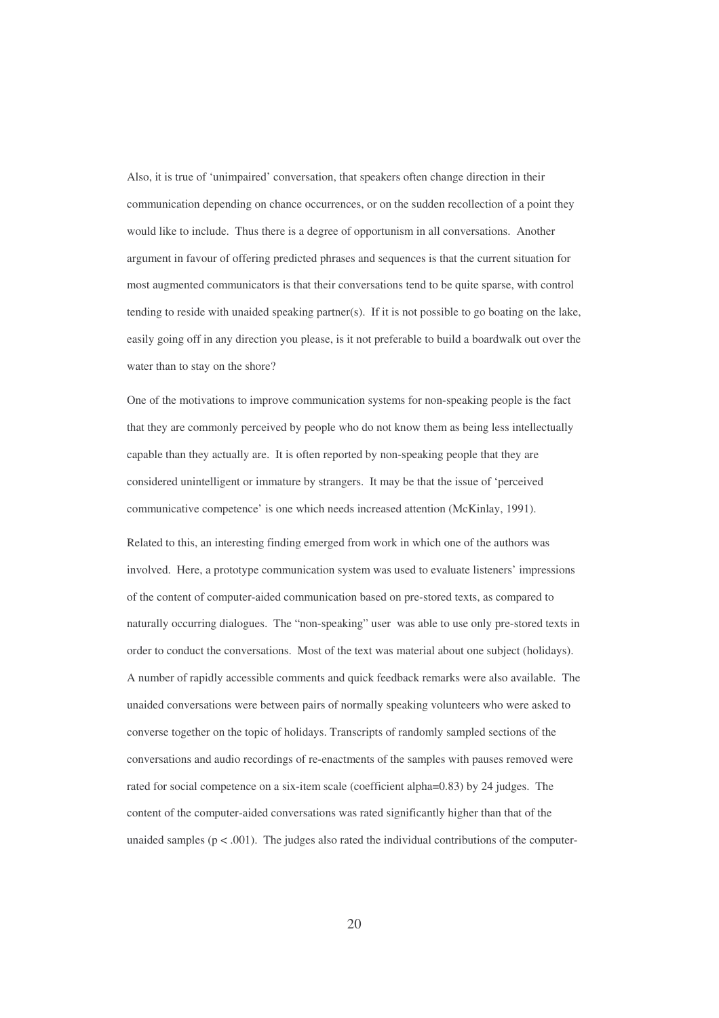Also, it is true of 'unimpaired' conversation, that speakers often change direction in their communication depending on chance occurrences, or on the sudden recollection of a point they would like to include. Thus there is a degree of opportunism in all conversations. Another argument in favour of offering predicted phrases and sequences is that the current situation for most augmented communicators is that their conversations tend to be quite sparse, with control tending to reside with unaided speaking partner(s). If it is not possible to go boating on the lake, easily going off in any direction you please, is it not preferable to build a boardwalk out over the water than to stay on the shore?

One of the motivations to improve communication systems for non-speaking people is the fact that they are commonly perceived by people who do not know them as being less intellectually capable than they actually are. It is often reported by non-speaking people that they are considered unintelligent or immature by strangers. It may be that the issue of 'perceived communicative competence' is one which needs increased attention (McKinlay, 1991).

Related to this, an interesting finding emerged from work in which one of the authors was involved. Here, a prototype communication system was used to evaluate listeners' impressions of the content of computer-aided communication based on pre-stored texts, as compared to naturally occurring dialogues. The "non-speaking" user was able to use only pre-stored texts in order to conduct the conversations. Most of the text was material about one subject (holidays). A number of rapidly accessible comments and quick feedback remarks were also available. The unaided conversations were between pairs of normally speaking volunteers who were asked to converse together on the topic of holidays. Transcripts of randomly sampled sections of the conversations and audio recordings of re-enactments of the samples with pauses removed were rated for social competence on a six-item scale (coefficient alpha=0.83) by 24 judges. The content of the computer-aided conversations was rated significantly higher than that of the unaided samples ( $p < .001$ ). The judges also rated the individual contributions of the computer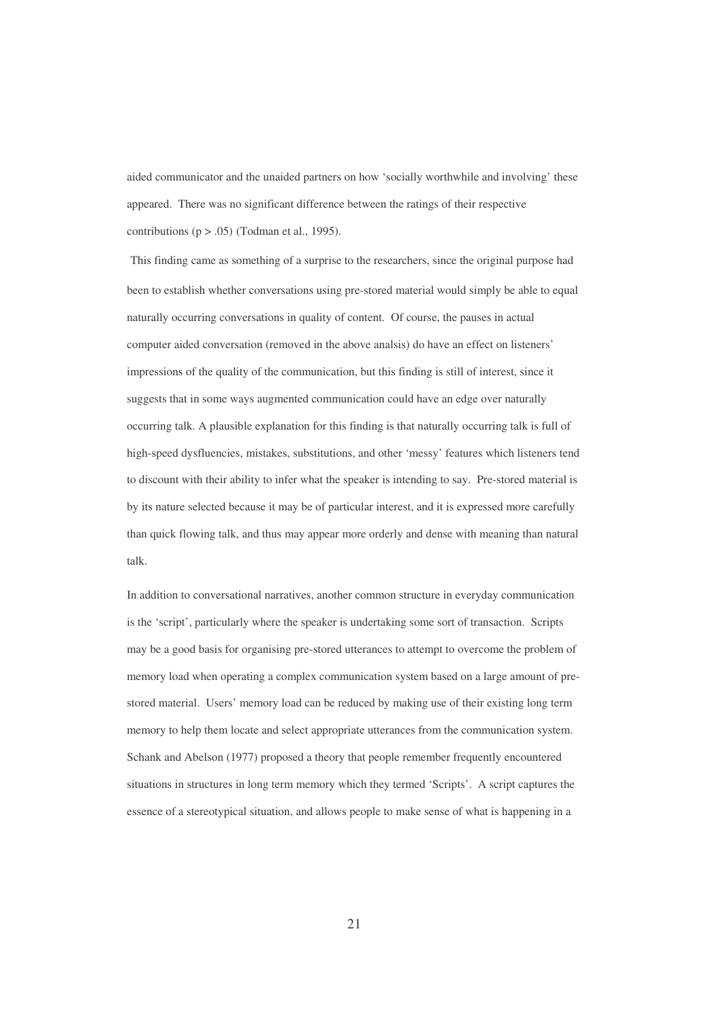aided communicator and the unaided partners on how 'socially worthwhile and involving' these appeared. There was no significant difference between the ratings of their respective contributions ( $p > .05$ ) (Todman et al., 1995).

This finding came as something of a surprise to the researchers, since the original purpose had been to establish whether conversations using pre-stored material would simply be able to equal naturally occurring conversations in quality of content. Of course, the pauses in actual computer aided conversation (removed in the above analsis) do have an effect on listeners' impressions of the quality of the communication, but this finding is still of interest, since it suggests that in some ways augmented communication could have an edge over naturally occurring talk. A plausible explanation for this finding is that naturally occurring talk is full of high-speed dysfluencies, mistakes, substitutions, and other 'messy' features which listeners tend to discount with their ability to infer what the speaker is intending to say. Pre-stored material is by its nature selected because it may be of particular interest, and it is expressed more carefully than quick flowing talk, and thus may appear more orderly and dense with meaning than natural talk.

In addition to conversational narratives, another common structure in everyday communication is the 'script', particularly where the speaker is undertaking some sort of transaction. Scripts may be a good basis for organising pre-stored utterances to attempt to overcome the problem of memory load when operating a complex communication system based on a large amount of prestored material. Users' memory load can be reduced by making use of their existing long term memory to help them locate and select appropriate utterances from the communication system. Schank and Abelson (1977) proposed a theory that people remember frequently encountered situations in structures in long term memory which they termed 'Scripts'. A script captures the essence of a stereotypical situation, and allows people to make sense of what is happening in a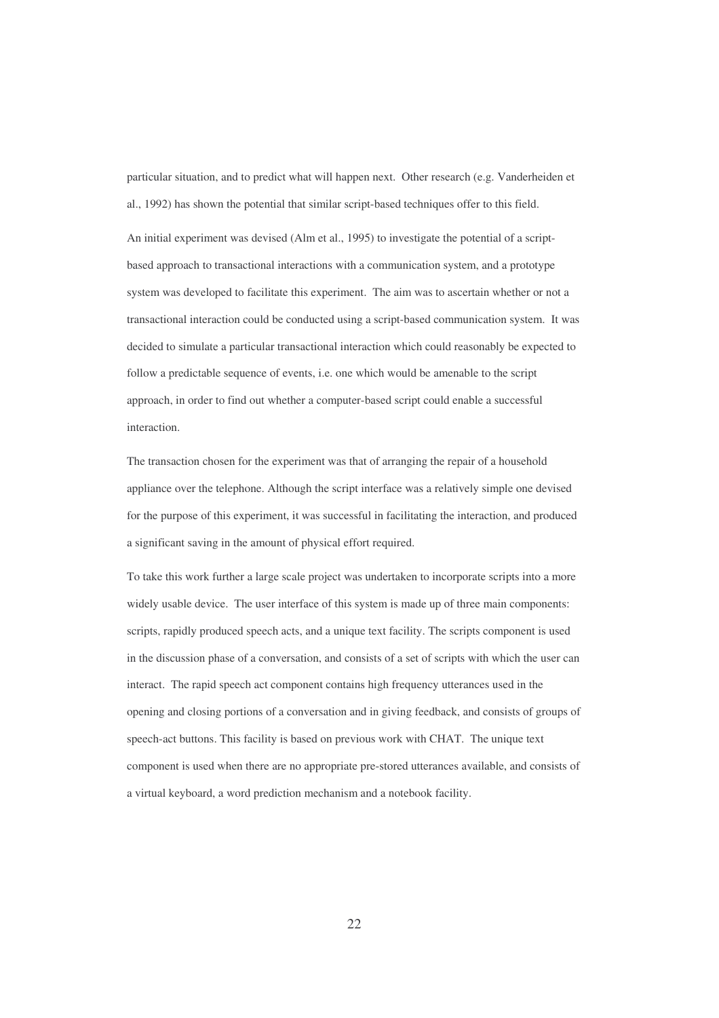particular situation, and to predict what will happen next. Other research (e.g. Vanderheiden et al., 1992) has shown the potential that similar script-based techniques offer to this field.

An initial experiment was devised (Alm et al., 1995) to investigate the potential of a scriptbased approach to transactional interactions with a communication system, and a prototype system was developed to facilitate this experiment. The aim was to ascertain whether or not a transactional interaction could be conducted using a script-based communication system. It was decided to simulate a particular transactional interaction which could reasonably be expected to follow a predictable sequence of events, i.e. one which would be amenable to the script approach, in order to find out whether a computer-based script could enable a successful interaction.

The transaction chosen for the experiment was that of arranging the repair of a household appliance over the telephone. Although the script interface was a relatively simple one devised for the purpose of this experiment, it was successful in facilitating the interaction, and produced a significant saving in the amount of physical effort required.

To take this work further a large scale project was undertaken to incorporate scripts into a more widely usable device. The user interface of this system is made up of three main components: scripts, rapidly produced speech acts, and a unique text facility. The scripts component is used in the discussion phase of a conversation, and consists of a set of scripts with which the user can interact. The rapid speech act component contains high frequency utterances used in the opening and closing portions of a conversation and in giving feedback, and consists of groups of speech-act buttons. This facility is based on previous work with CHAT. The unique text component is used when there are no appropriate pre-stored utterances available, and consists of a virtual keyboard, a word prediction mechanism and a notebook facility.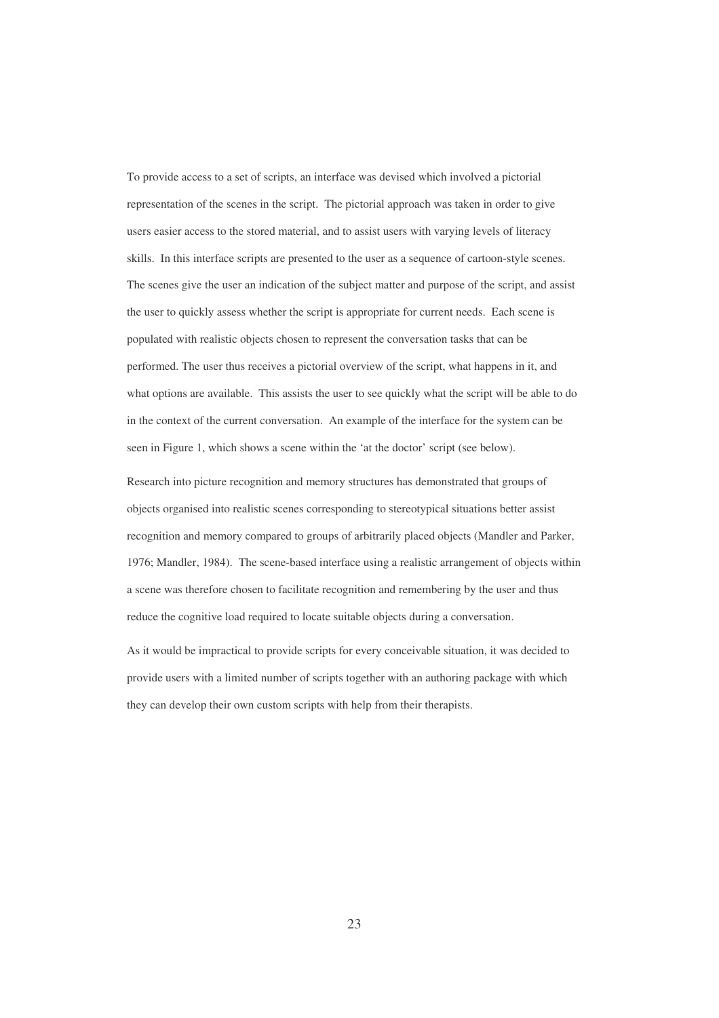To provide access to a set of scripts, an interface was devised which involved a pictorial representation of the scenes in the script. The pictorial approach was taken in order to give users easier access to the stored material, and to assist users with varying levels of literacy skills. In this interface scripts are presented to the user as a sequence of cartoon-style scenes. The scenes give the user an indication of the subject matter and purpose of the script, and assist the user to quickly assess whether the script is appropriate for current needs. Each scene is populated with realistic objects chosen to represent the conversation tasks that can be performed. The user thus receives a pictorial overview of the script, what happens in it, and what options are available. This assists the user to see quickly what the script will be able to do in the context of the current conversation. An example of the interface for the system can be seen in Figure 1, which shows a scene within the 'at the doctor' script (see below).

Research into picture recognition and memory structures has demonstrated that groups of objects organised into realistic scenes corresponding to stereotypical situations better assist recognition and memory compared to groups of arbitrarily placed objects (Mandler and Parker, 1976; Mandler, 1984). The scene-based interface using a realistic arrangement of objects within a scene was therefore chosen to facilitate recognition and remembering by the user and thus reduce the cognitive load required to locate suitable objects during a conversation.

As it would be impractical to provide scripts for every conceivable situation, it was decided to provide users with a limited number of scripts together with an authoring package with which they can develop their own custom scripts with help from their therapists.

23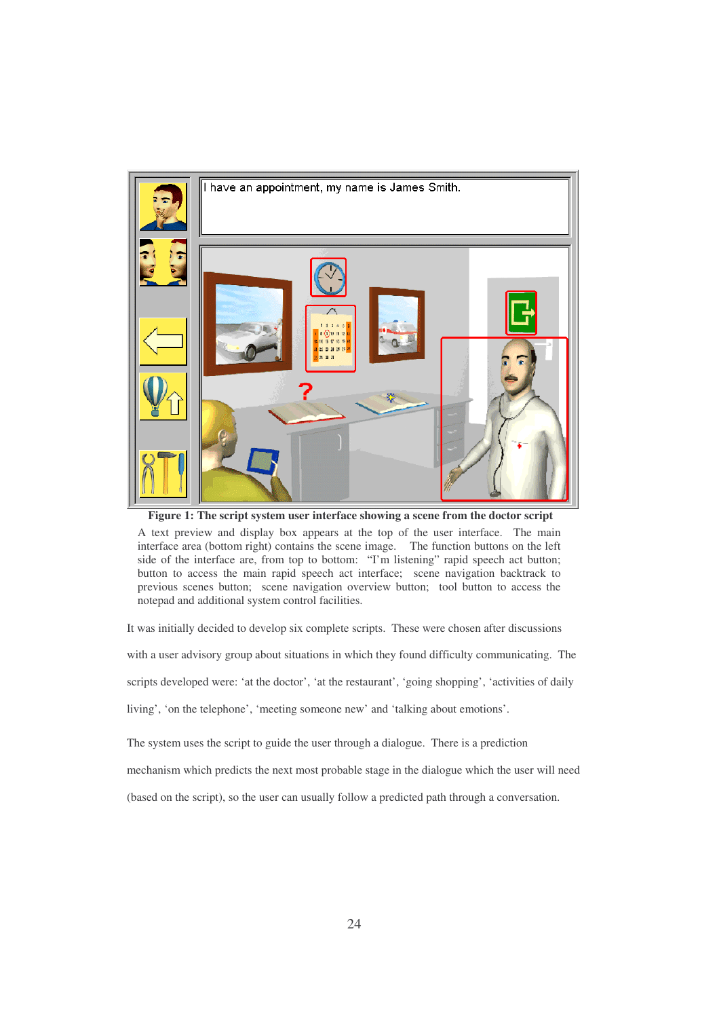

**Figure 1: The script system user interface showing a scene from the doctor script** A text preview and display box appears at the top of the user interface. The main interface area (bottom right) contains the scene image. The function buttons on the left side of the interface are, from top to bottom: "I'm listening" rapid speech act button; button to access the main rapid speech act interface; scene navigation backtrack to previous scenes button; scene navigation overview button; tool button to access the notepad and additional system control facilities.

It was initially decided to develop six complete scripts. These were chosen after discussions with a user advisory group about situations in which they found difficulty communicating. The scripts developed were: 'at the doctor', 'at the restaurant', 'going shopping', 'activities of daily living', 'on the telephone', 'meeting someone new' and 'talking about emotions'.

The system uses the script to guide the user through a dialogue. There is a prediction mechanism which predicts the next most probable stage in the dialogue which the user will need

(based on the script), so the user can usually follow a predicted path through a conversation.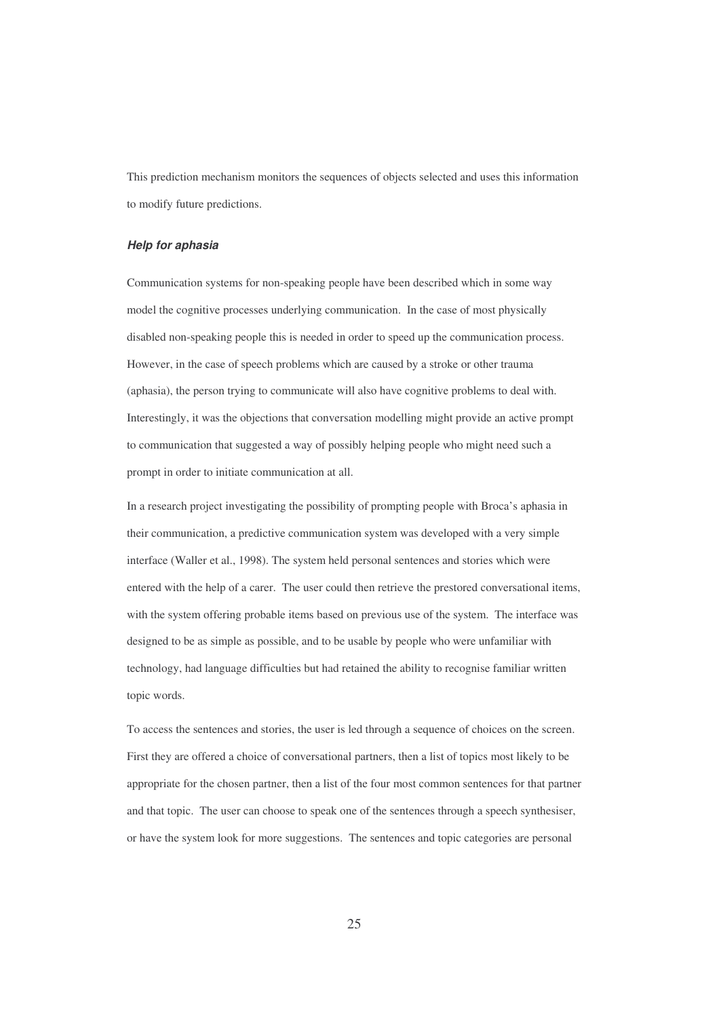This prediction mechanism monitors the sequences of objects selected and uses this information to modify future predictions.

### *Help for aphasia*

Communication systems for non-speaking people have been described which in some way model the cognitive processes underlying communication. In the case of most physically disabled non-speaking people this is needed in order to speed up the communication process. However, in the case of speech problems which are caused by a stroke or other trauma (aphasia), the person trying to communicate will also have cognitive problems to deal with. Interestingly, it was the objections that conversation modelling might provide an active prompt to communication that suggested a way of possibly helping people who might need such a prompt in order to initiate communication at all.

In a research project investigating the possibility of prompting people with Broca's aphasia in their communication, a predictive communication system was developed with a very simple interface (Waller et al., 1998). The system held personal sentences and stories which were entered with the help of a carer. The user could then retrieve the prestored conversational items, with the system offering probable items based on previous use of the system. The interface was designed to be as simple as possible, and to be usable by people who were unfamiliar with technology, had language difficulties but had retained the ability to recognise familiar written topic words.

To access the sentences and stories, the user is led through a sequence of choices on the screen. First they are offered a choice of conversational partners, then a list of topics most likely to be appropriate for the chosen partner, then a list of the four most common sentences for that partner and that topic. The user can choose to speak one of the sentences through a speech synthesiser, or have the system look for more suggestions. The sentences and topic categories are personal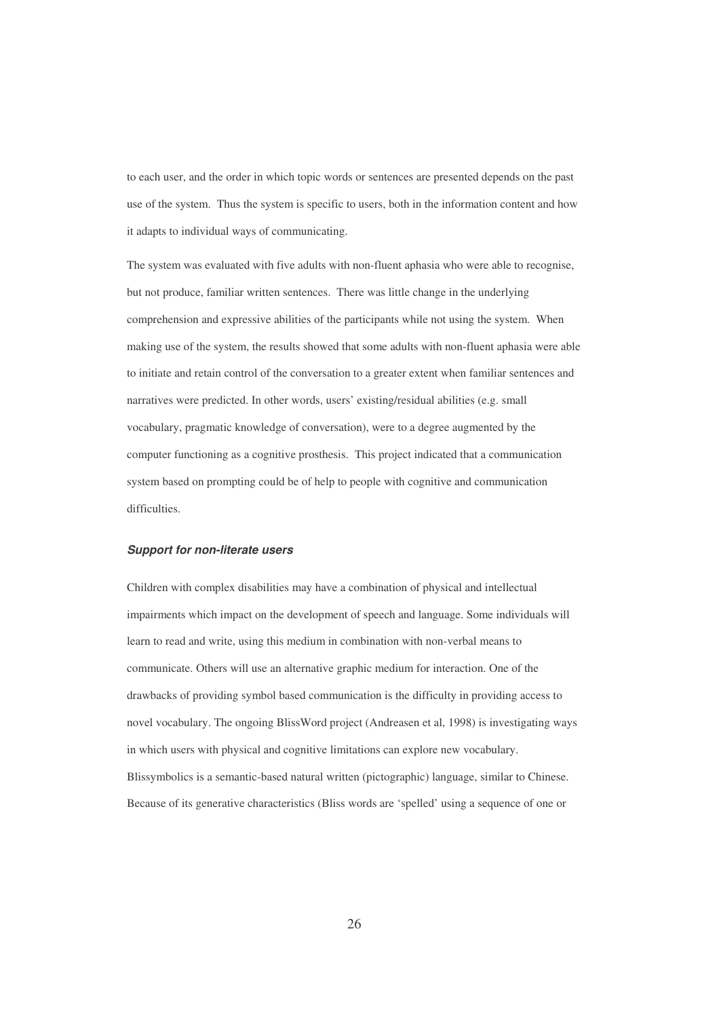to each user, and the order in which topic words or sentences are presented depends on the past use of the system. Thus the system is specific to users, both in the information content and how it adapts to individual ways of communicating.

The system was evaluated with five adults with non-fluent aphasia who were able to recognise, but not produce, familiar written sentences. There was little change in the underlying comprehension and expressive abilities of the participants while not using the system. When making use of the system, the results showed that some adults with non-fluent aphasia were able to initiate and retain control of the conversation to a greater extent when familiar sentences and narratives were predicted. In other words, users' existing/residual abilities (e.g. small vocabulary, pragmatic knowledge of conversation), were to a degree augmented by the computer functioning as a cognitive prosthesis. This project indicated that a communication system based on prompting could be of help to people with cognitive and communication difficulties.

### *Support for non-literate users*

Children with complex disabilities may have a combination of physical and intellectual impairments which impact on the development of speech and language. Some individuals will learn to read and write, using this medium in combination with non-verbal means to communicate. Others will use an alternative graphic medium for interaction. One of the drawbacks of providing symbol based communication is the difficulty in providing access to novel vocabulary. The ongoing BlissWord project (Andreasen et al, 1998) is investigating ways in which users with physical and cognitive limitations can explore new vocabulary. Blissymbolics is a semantic-based natural written (pictographic) language, similar to Chinese. Because of its generative characteristics (Bliss words are 'spelled' using a sequence of one or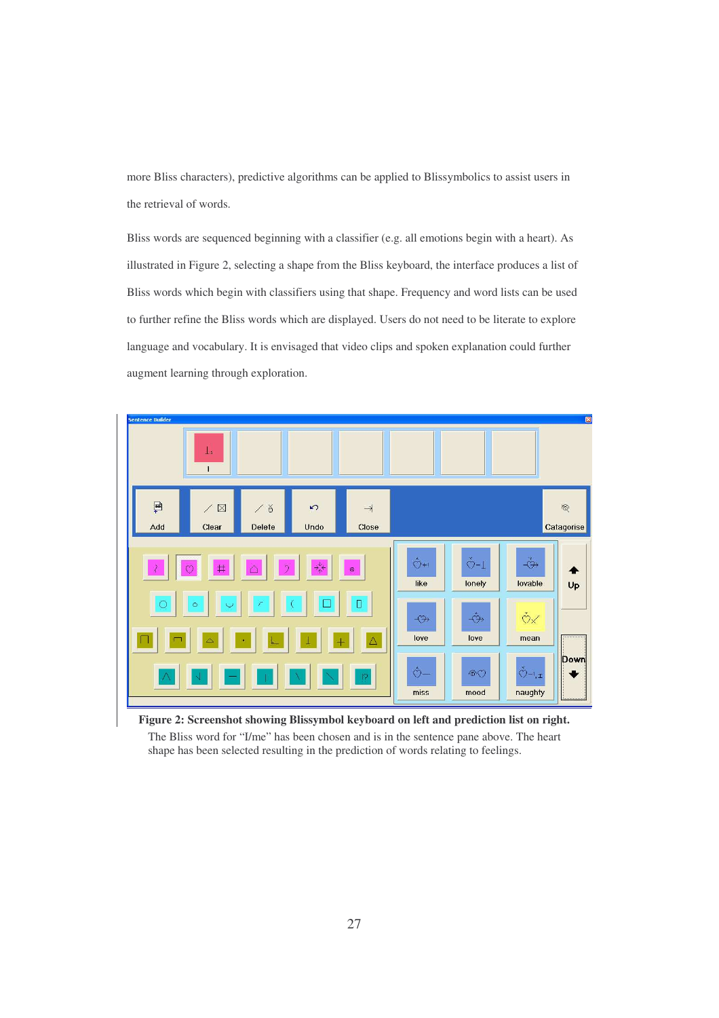more Bliss characters), predictive algorithms can be applied to Blissymbolics to assist users in the retrieval of words.

Bliss words are sequenced beginning with a classifier (e.g. all emotions begin with a heart). As illustrated in Figure 2, selecting a shape from the Bliss keyboard, the interface produces a list of Bliss words which begin with classifiers using that shape. Frequency and word lists can be used to further refine the Bliss words which are displayed. Users do not need to be literate to explore language and vocabulary. It is envisaged that video clips and spoken explanation could further augment learning through exploration.



**Figure 2: Screenshot showing Blissymbol keyboard on left and prediction list on right.** The Bliss word for "I/me" has been chosen and is in the sentence pane above. The heart shape has been selected resulting in the prediction of words relating to feelings.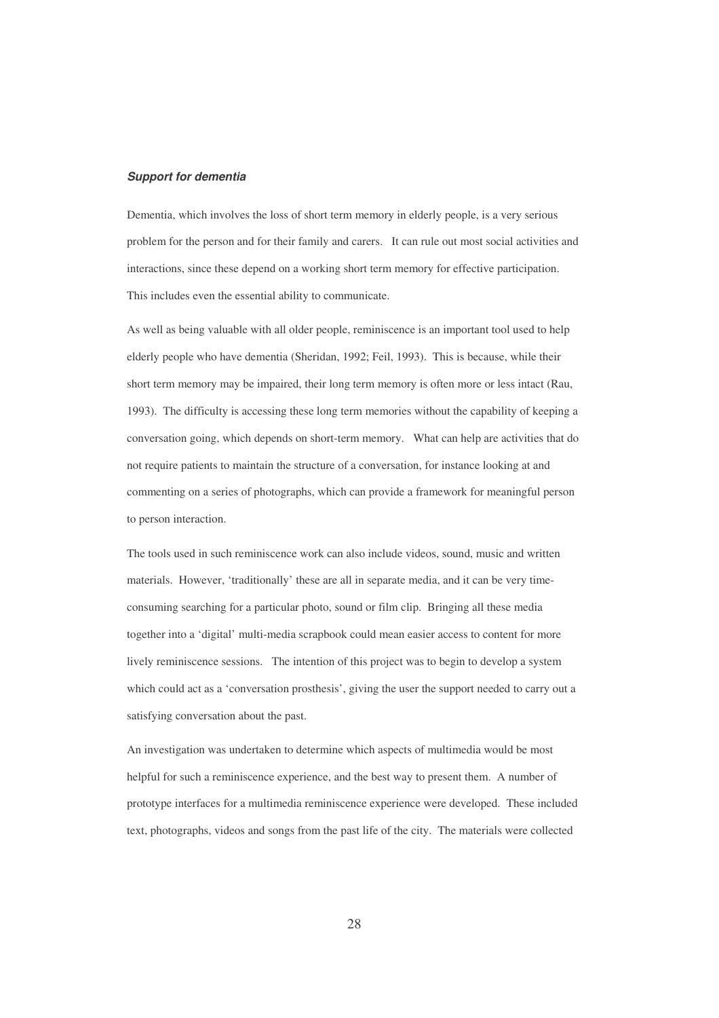### *Support for dementia*

Dementia, which involves the loss of short term memory in elderly people, is a very serious problem for the person and for their family and carers. It can rule out most social activities and interactions, since these depend on a working short term memory for effective participation. This includes even the essential ability to communicate.

As well as being valuable with all older people, reminiscence is an important tool used to help elderly people who have dementia (Sheridan, 1992; Feil, 1993). This is because, while their short term memory may be impaired, their long term memory is often more or less intact (Rau, 1993). The difficulty is accessing these long term memories without the capability of keeping a conversation going, which depends on short-term memory. What can help are activities that do not require patients to maintain the structure of a conversation, for instance looking at and commenting on a series of photographs, which can provide a framework for meaningful person to person interaction.

The tools used in such reminiscence work can also include videos, sound, music and written materials. However, 'traditionally' these are all in separate media, and it can be very timeconsuming searching for a particular photo, sound or film clip. Bringing all these media together into a 'digital' multi-media scrapbook could mean easier access to content for more lively reminiscence sessions. The intention of this project was to begin to develop a system which could act as a 'conversation prosthesis', giving the user the support needed to carry out a satisfying conversation about the past.

An investigation was undertaken to determine which aspects of multimedia would be most helpful for such a reminiscence experience, and the best way to present them. A number of prototype interfaces for a multimedia reminiscence experience were developed. These included text, photographs, videos and songs from the past life of the city. The materials were collected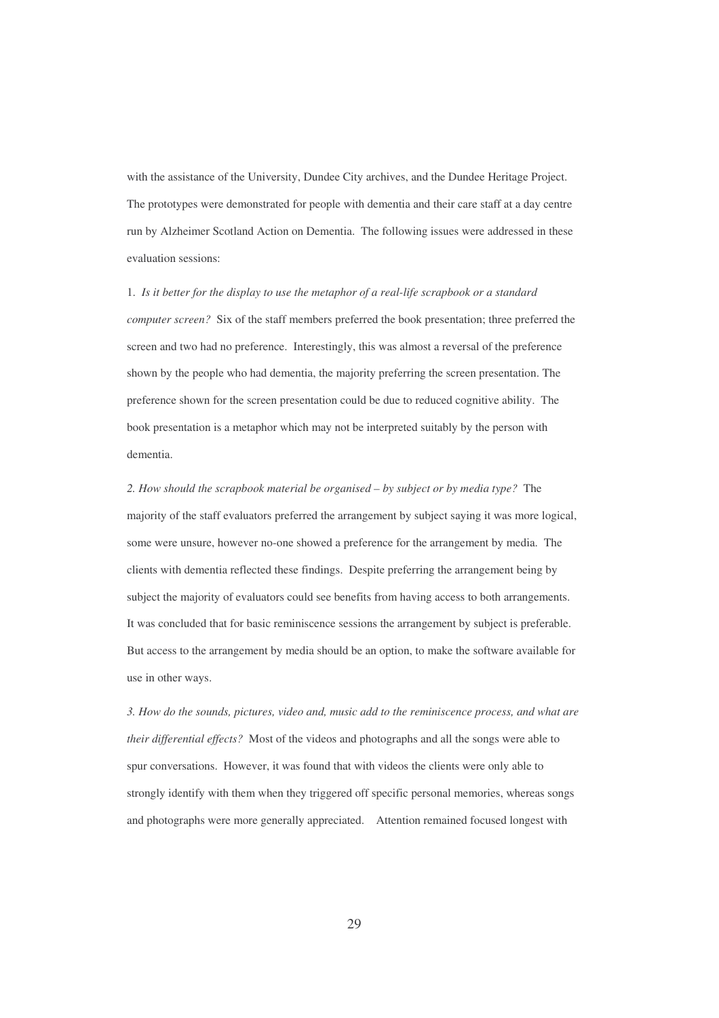with the assistance of the University, Dundee City archives, and the Dundee Heritage Project. The prototypes were demonstrated for people with dementia and their care staff at a day centre run by Alzheimer Scotland Action on Dementia. The following issues were addressed in these evaluation sessions:

1. *Is it better for the display to use the metaphor of a real-life scrapbook or a standard computer screen?* Six of the staff members preferred the book presentation; three preferred the screen and two had no preference. Interestingly, this was almost a reversal of the preference shown by the people who had dementia, the majority preferring the screen presentation. The preference shown for the screen presentation could be due to reduced cognitive ability. The book presentation is a metaphor which may not be interpreted suitably by the person with dementia.

*2. How should the scrapbook material be organised – by subject or by media type?* The majority of the staff evaluators preferred the arrangement by subject saying it was more logical, some were unsure, however no-one showed a preference for the arrangement by media. The clients with dementia reflected these findings. Despite preferring the arrangement being by subject the majority of evaluators could see benefits from having access to both arrangements. It was concluded that for basic reminiscence sessions the arrangement by subject is preferable. But access to the arrangement by media should be an option, to make the software available for use in other ways.

*3. How do the sounds, pictures, video and, music add to the reminiscence process, and what are their differential effects?* Most of the videos and photographs and all the songs were able to spur conversations. However, it was found that with videos the clients were only able to strongly identify with them when they triggered off specific personal memories, whereas songs and photographs were more generally appreciated. Attention remained focused longest with

29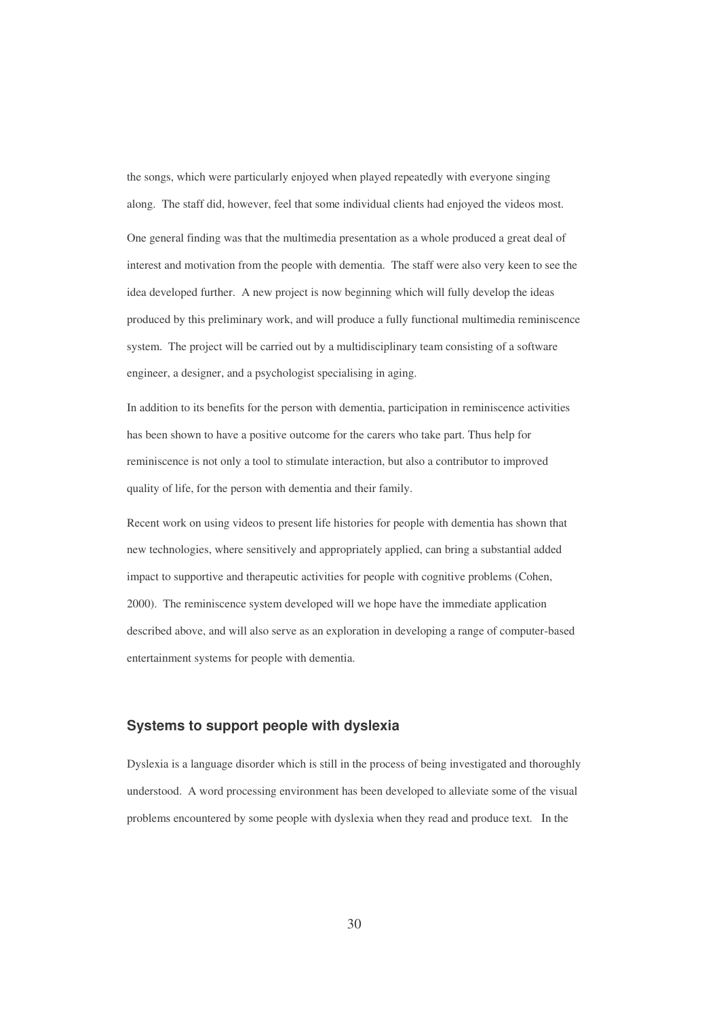the songs, which were particularly enjoyed when played repeatedly with everyone singing along. The staff did, however, feel that some individual clients had enjoyed the videos most.

One general finding was that the multimedia presentation as a whole produced a great deal of interest and motivation from the people with dementia. The staff were also very keen to see the idea developed further. A new project is now beginning which will fully develop the ideas produced by this preliminary work, and will produce a fully functional multimedia reminiscence system. The project will be carried out by a multidisciplinary team consisting of a software engineer, a designer, and a psychologist specialising in aging.

In addition to its benefits for the person with dementia, participation in reminiscence activities has been shown to have a positive outcome for the carers who take part. Thus help for reminiscence is not only a tool to stimulate interaction, but also a contributor to improved quality of life, for the person with dementia and their family.

Recent work on using videos to present life histories for people with dementia has shown that new technologies, where sensitively and appropriately applied, can bring a substantial added impact to supportive and therapeutic activities for people with cognitive problems (Cohen, 2000). The reminiscence system developed will we hope have the immediate application described above, and will also serve as an exploration in developing a range of computer-based entertainment systems for people with dementia.

# **Systems to support people with dyslexia**

Dyslexia is a language disorder which is still in the process of being investigated and thoroughly understood. A word processing environment has been developed to alleviate some of the visual problems encountered by some people with dyslexia when they read and produce text. In the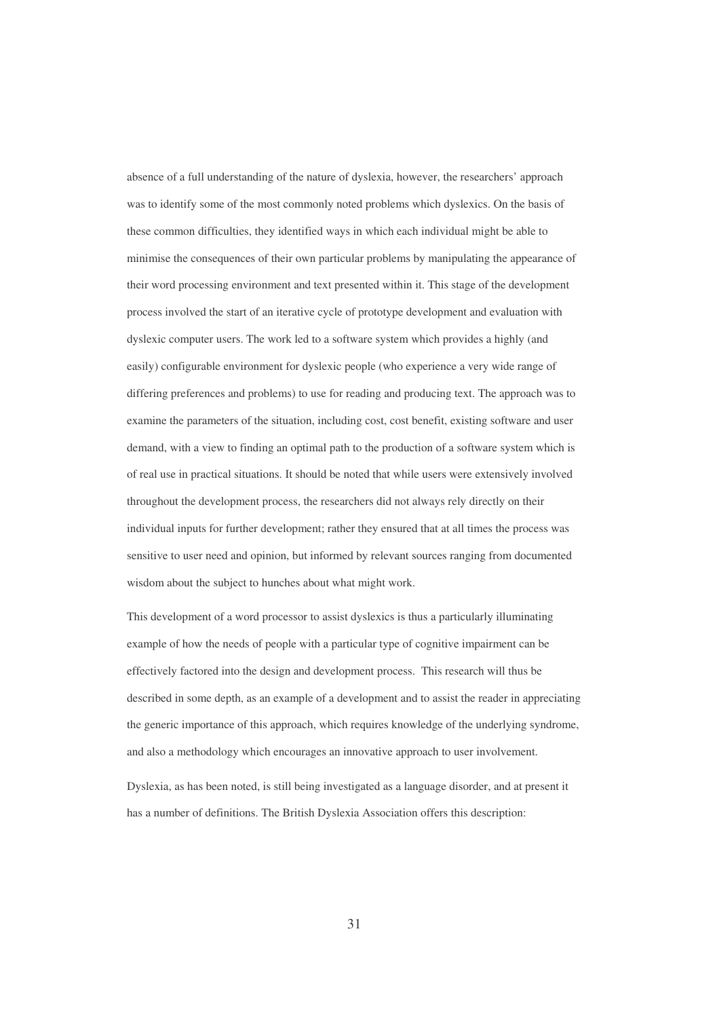absence of a full understanding of the nature of dyslexia, however, the researchers' approach was to identify some of the most commonly noted problems which dyslexics. On the basis of these common difficulties, they identified ways in which each individual might be able to minimise the consequences of their own particular problems by manipulating the appearance of their word processing environment and text presented within it. This stage of the development process involved the start of an iterative cycle of prototype development and evaluation with dyslexic computer users. The work led to a software system which provides a highly (and easily) configurable environment for dyslexic people (who experience a very wide range of differing preferences and problems) to use for reading and producing text. The approach was to examine the parameters of the situation, including cost, cost benefit, existing software and user demand, with a view to finding an optimal path to the production of a software system which is of real use in practical situations. It should be noted that while users were extensively involved throughout the development process, the researchers did not always rely directly on their individual inputs for further development; rather they ensured that at all times the process was sensitive to user need and opinion, but informed by relevant sources ranging from documented wisdom about the subject to hunches about what might work.

This development of a word processor to assist dyslexics is thus a particularly illuminating example of how the needs of people with a particular type of cognitive impairment can be effectively factored into the design and development process. This research will thus be described in some depth, as an example of a development and to assist the reader in appreciating the generic importance of this approach, which requires knowledge of the underlying syndrome, and also a methodology which encourages an innovative approach to user involvement.

Dyslexia, as has been noted, is still being investigated as a language disorder, and at present it has a number of definitions. The British Dyslexia Association offers this description: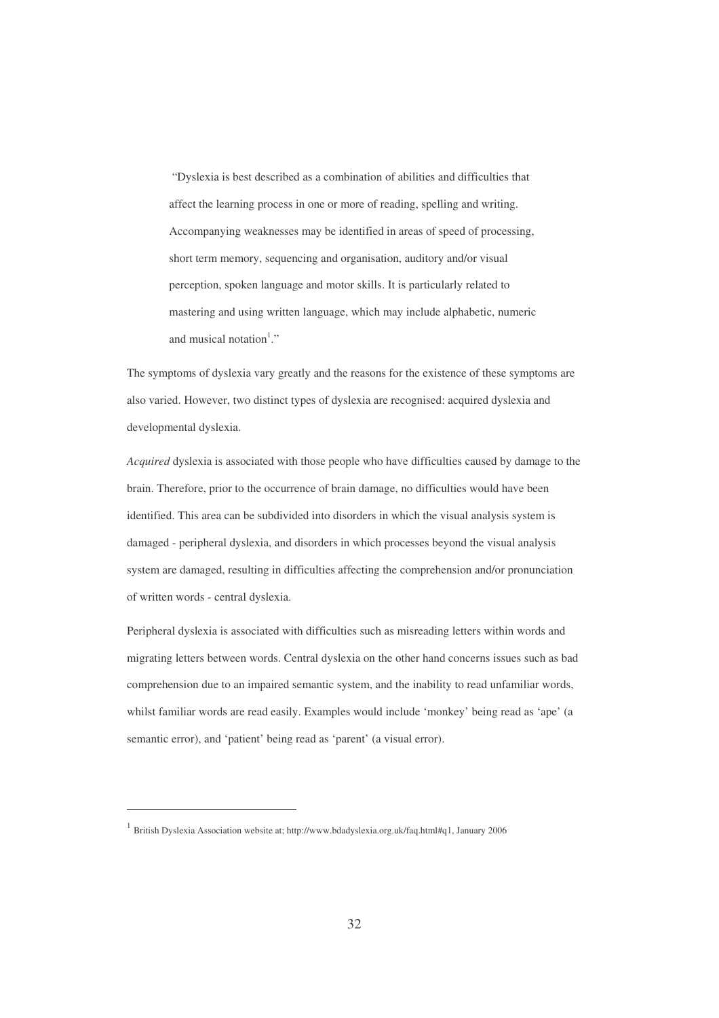"Dyslexia is best described as a combination of abilities and difficulties that affect the learning process in one or more of reading, spelling and writing. Accompanying weaknesses may be identified in areas of speed of processing, short term memory, sequencing and organisation, auditory and/or visual perception, spoken language and motor skills. It is particularly related to mastering and using written language, which may include alphabetic, numeric and musical notation<sup>1</sup>."

The symptoms of dyslexia vary greatly and the reasons for the existence of these symptoms are also varied. However, two distinct types of dyslexia are recognised: acquired dyslexia and developmental dyslexia.

*Acquired* dyslexia is associated with those people who have difficulties caused by damage to the brain. Therefore, prior to the occurrence of brain damage, no difficulties would have been identified. This area can be subdivided into disorders in which the visual analysis system is damaged - peripheral dyslexia, and disorders in which processes beyond the visual analysis system are damaged, resulting in difficulties affecting the comprehension and/or pronunciation of written words - central dyslexia.

Peripheral dyslexia is associated with difficulties such as misreading letters within words and migrating letters between words. Central dyslexia on the other hand concerns issues such as bad comprehension due to an impaired semantic system, and the inability to read unfamiliar words, whilst familiar words are read easily. Examples would include 'monkey' being read as 'ape' (a semantic error), and 'patient' being read as 'parent' (a visual error).

<sup>&</sup>lt;sup>1</sup> British Dyslexia Association website at; http://www.bdadyslexia.org.uk/faq.html#q1, January 2006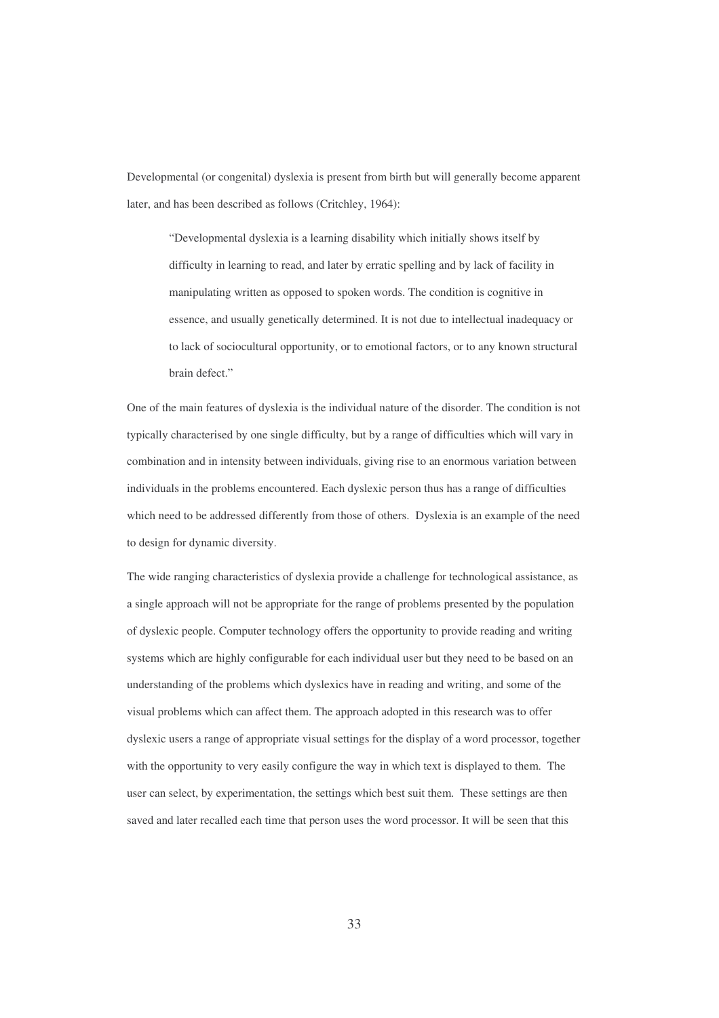Developmental (or congenital) dyslexia is present from birth but will generally become apparent later, and has been described as follows (Critchley, 1964):

"Developmental dyslexia is a learning disability which initially shows itself by difficulty in learning to read, and later by erratic spelling and by lack of facility in manipulating written as opposed to spoken words. The condition is cognitive in essence, and usually genetically determined. It is not due to intellectual inadequacy or to lack of sociocultural opportunity, or to emotional factors, or to any known structural brain defect."

One of the main features of dyslexia is the individual nature of the disorder. The condition is not typically characterised by one single difficulty, but by a range of difficulties which will vary in combination and in intensity between individuals, giving rise to an enormous variation between individuals in the problems encountered. Each dyslexic person thus has a range of difficulties which need to be addressed differently from those of others. Dyslexia is an example of the need to design for dynamic diversity.

The wide ranging characteristics of dyslexia provide a challenge for technological assistance, as a single approach will not be appropriate for the range of problems presented by the population of dyslexic people. Computer technology offers the opportunity to provide reading and writing systems which are highly configurable for each individual user but they need to be based on an understanding of the problems which dyslexics have in reading and writing, and some of the visual problems which can affect them. The approach adopted in this research was to offer dyslexic users a range of appropriate visual settings for the display of a word processor, together with the opportunity to very easily configure the way in which text is displayed to them. The user can select, by experimentation, the settings which best suit them. These settings are then saved and later recalled each time that person uses the word processor. It will be seen that this

33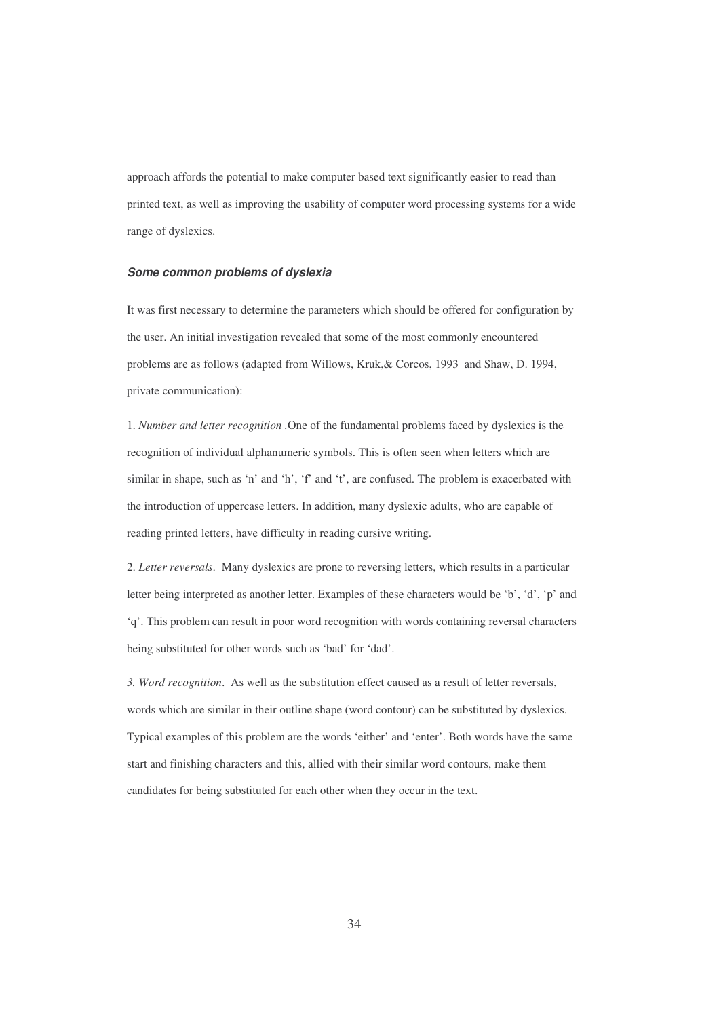approach affords the potential to make computer based text significantly easier to read than printed text, as well as improving the usability of computer word processing systems for a wide range of dyslexics.

### *Some common problems of dyslexia*

It was first necessary to determine the parameters which should be offered for configuration by the user. An initial investigation revealed that some of the most commonly encountered problems are as follows (adapted from Willows, Kruk,& Corcos, 1993 and Shaw, D. 1994, private communication):

1. *Number and letter recognition .*One of the fundamental problems faced by dyslexics is the recognition of individual alphanumeric symbols. This is often seen when letters which are similar in shape, such as 'n' and 'h', 'f' and 't', are confused. The problem is exacerbated with the introduction of uppercase letters. In addition, many dyslexic adults, who are capable of reading printed letters, have difficulty in reading cursive writing.

2. *Letter reversals*. Many dyslexics are prone to reversing letters, which results in a particular letter being interpreted as another letter. Examples of these characters would be 'b', 'd', 'p' and 'q'. This problem can result in poor word recognition with words containing reversal characters being substituted for other words such as 'bad' for 'dad'.

*3. Word recognition*. As well as the substitution effect caused as a result of letter reversals, words which are similar in their outline shape (word contour) can be substituted by dyslexics. Typical examples of this problem are the words 'either' and 'enter'. Both words have the same start and finishing characters and this, allied with their similar word contours, make them candidates for being substituted for each other when they occur in the text.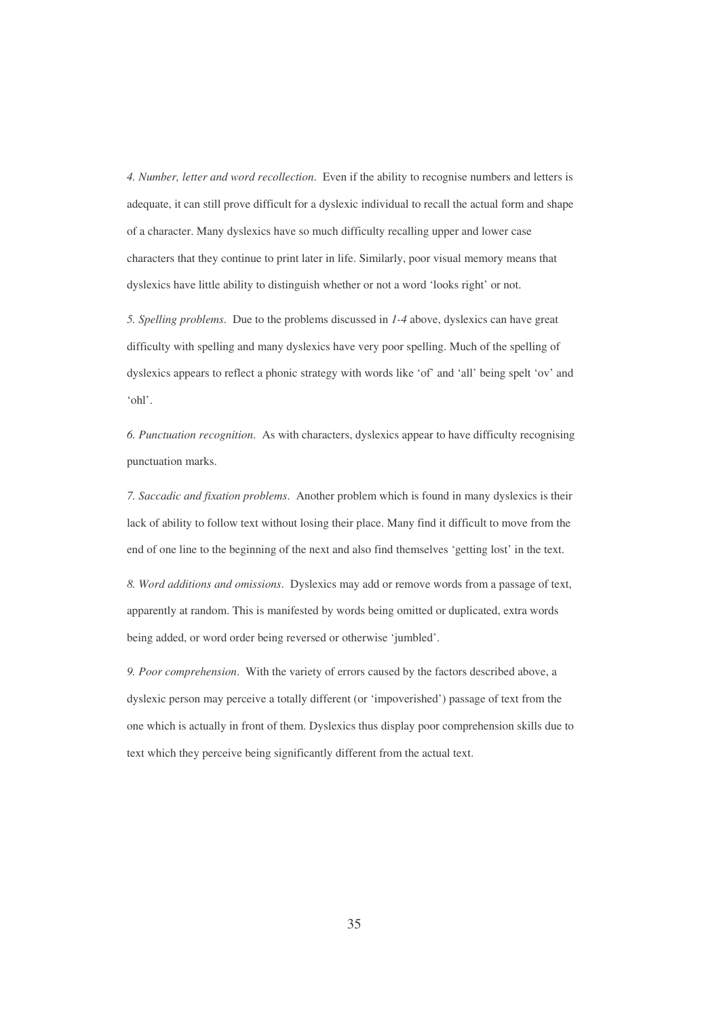*4. Number, letter and word recollection*. Even if the ability to recognise numbers and letters is adequate, it can still prove difficult for a dyslexic individual to recall the actual form and shape of a character. Many dyslexics have so much difficulty recalling upper and lower case characters that they continue to print later in life. Similarly, poor visual memory means that dyslexics have little ability to distinguish whether or not a word 'looks right' or not.

*5. Spelling problems*. Due to the problems discussed in *1-4* above, dyslexics can have great difficulty with spelling and many dyslexics have very poor spelling. Much of the spelling of dyslexics appears to reflect a phonic strategy with words like 'of' and 'all' being spelt 'ov' and 'ohl'.

*6. Punctuation recognition*. As with characters, dyslexics appear to have difficulty recognising punctuation marks.

*7. Saccadic and fixation problems*. Another problem which is found in many dyslexics is their lack of ability to follow text without losing their place. Many find it difficult to move from the end of one line to the beginning of the next and also find themselves 'getting lost' in the text.

*8. Word additions and omissions*. Dyslexics may add or remove words from a passage of text, apparently at random. This is manifested by words being omitted or duplicated, extra words being added, or word order being reversed or otherwise 'jumbled'.

*9. Poor comprehension*. With the variety of errors caused by the factors described above, a dyslexic person may perceive a totally different (or 'impoverished') passage of text from the one which is actually in front of them. Dyslexics thus display poor comprehension skills due to text which they perceive being significantly different from the actual text.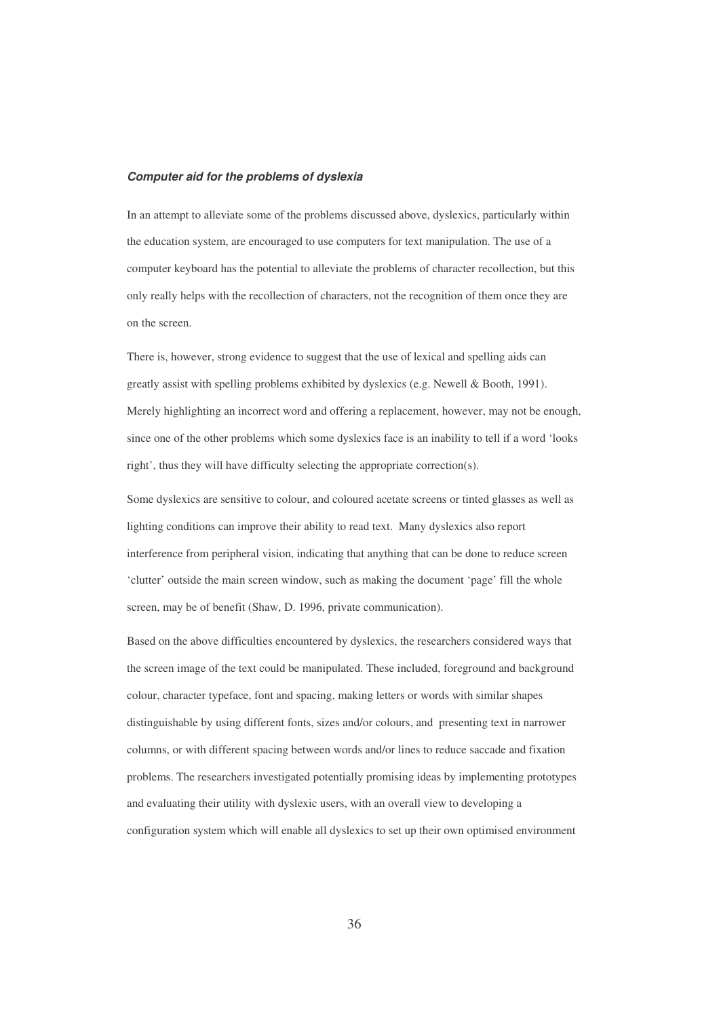### *Computer aid for the problems of dyslexia*

In an attempt to alleviate some of the problems discussed above, dyslexics, particularly within the education system, are encouraged to use computers for text manipulation. The use of a computer keyboard has the potential to alleviate the problems of character recollection, but this only really helps with the recollection of characters, not the recognition of them once they are on the screen.

There is, however, strong evidence to suggest that the use of lexical and spelling aids can greatly assist with spelling problems exhibited by dyslexics (e.g. Newell & Booth, 1991). Merely highlighting an incorrect word and offering a replacement, however, may not be enough, since one of the other problems which some dyslexics face is an inability to tell if a word 'looks right', thus they will have difficulty selecting the appropriate correction(s).

Some dyslexics are sensitive to colour, and coloured acetate screens or tinted glasses as well as lighting conditions can improve their ability to read text. Many dyslexics also report interference from peripheral vision, indicating that anything that can be done to reduce screen 'clutter' outside the main screen window, such as making the document 'page' fill the whole screen, may be of benefit (Shaw, D. 1996, private communication).

Based on the above difficulties encountered by dyslexics, the researchers considered ways that the screen image of the text could be manipulated. These included, foreground and background colour, character typeface, font and spacing, making letters or words with similar shapes distinguishable by using different fonts, sizes and/or colours, and presenting text in narrower columns, or with different spacing between words and/or lines to reduce saccade and fixation problems. The researchers investigated potentially promising ideas by implementing prototypes and evaluating their utility with dyslexic users, with an overall view to developing a configuration system which will enable all dyslexics to set up their own optimised environment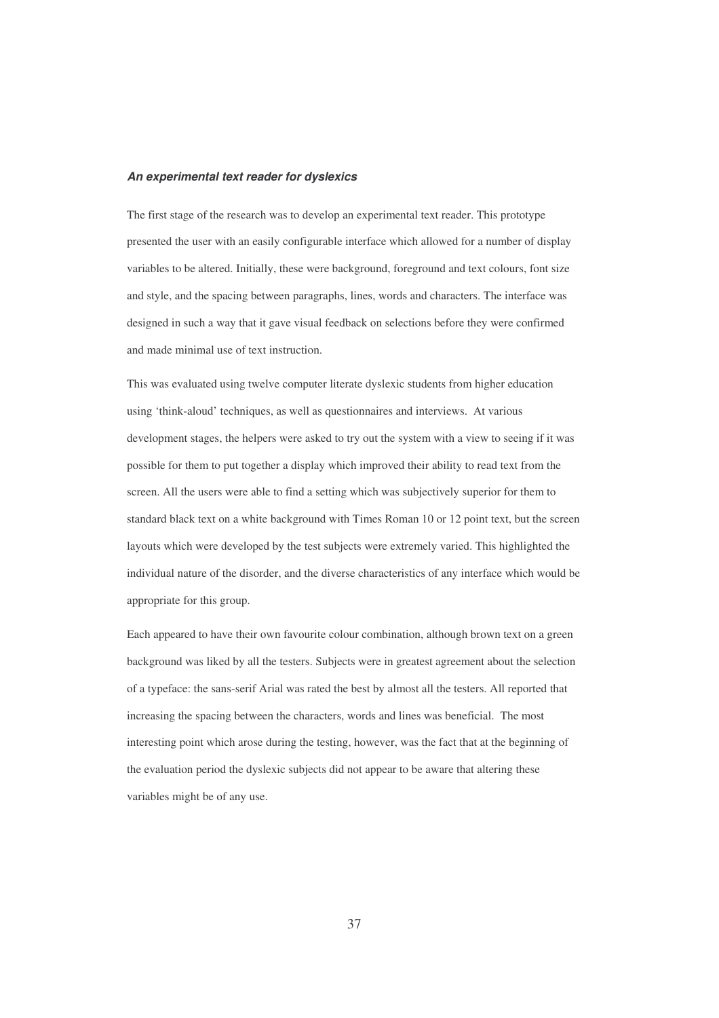### *An experimental text reader for dyslexics*

The first stage of the research was to develop an experimental text reader. This prototype presented the user with an easily configurable interface which allowed for a number of display variables to be altered. Initially, these were background, foreground and text colours, font size and style, and the spacing between paragraphs, lines, words and characters. The interface was designed in such a way that it gave visual feedback on selections before they were confirmed and made minimal use of text instruction.

This was evaluated using twelve computer literate dyslexic students from higher education using 'think-aloud' techniques, as well as questionnaires and interviews. At various development stages, the helpers were asked to try out the system with a view to seeing if it was possible for them to put together a display which improved their ability to read text from the screen. All the users were able to find a setting which was subjectively superior for them to standard black text on a white background with Times Roman 10 or 12 point text, but the screen layouts which were developed by the test subjects were extremely varied. This highlighted the individual nature of the disorder, and the diverse characteristics of any interface which would be appropriate for this group.

Each appeared to have their own favourite colour combination, although brown text on a green background was liked by all the testers. Subjects were in greatest agreement about the selection of a typeface: the sans-serif Arial was rated the best by almost all the testers. All reported that increasing the spacing between the characters, words and lines was beneficial. The most interesting point which arose during the testing, however, was the fact that at the beginning of the evaluation period the dyslexic subjects did not appear to be aware that altering these variables might be of any use.

37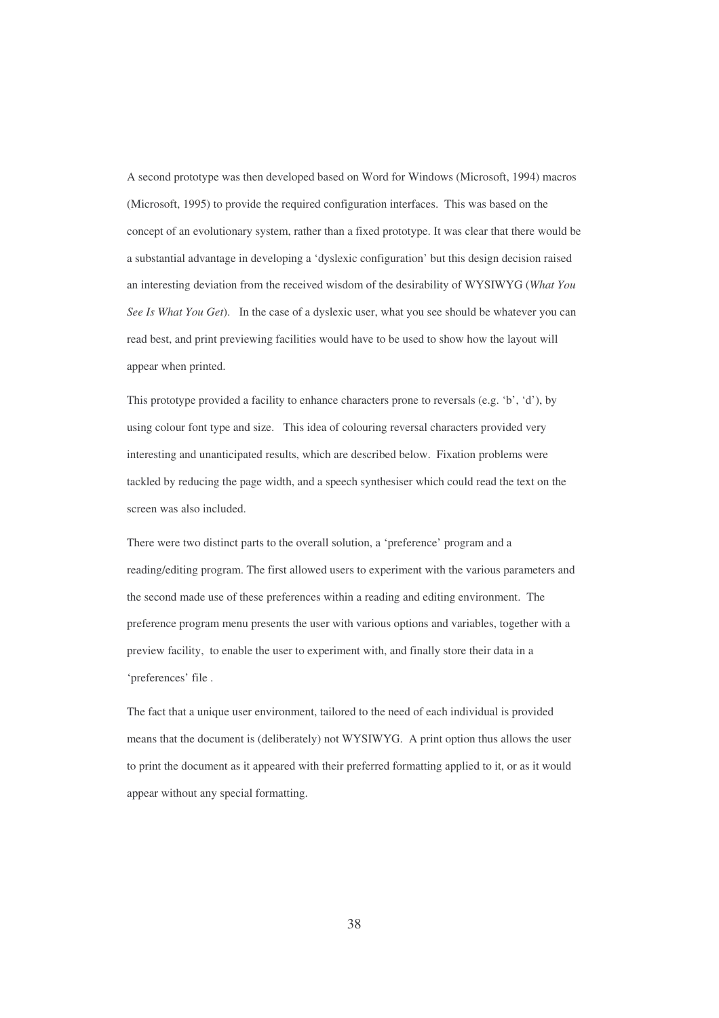A second prototype was then developed based on Word for Windows (Microsoft, 1994) macros (Microsoft, 1995) to provide the required configuration interfaces. This was based on the concept of an evolutionary system, rather than a fixed prototype. It was clear that there would be a substantial advantage in developing a 'dyslexic configuration' but this design decision raised an interesting deviation from the received wisdom of the desirability of WYSIWYG (*What You See Is What You Get*). In the case of a dyslexic user, what you see should be whatever you can read best, and print previewing facilities would have to be used to show how the layout will appear when printed.

This prototype provided a facility to enhance characters prone to reversals (e.g. 'b', 'd'), by using colour font type and size. This idea of colouring reversal characters provided very interesting and unanticipated results, which are described below. Fixation problems were tackled by reducing the page width, and a speech synthesiser which could read the text on the screen was also included.

There were two distinct parts to the overall solution, a 'preference' program and a reading/editing program. The first allowed users to experiment with the various parameters and the second made use of these preferences within a reading and editing environment. The preference program menu presents the user with various options and variables, together with a preview facility, to enable the user to experiment with, and finally store their data in a 'preferences' file .

The fact that a unique user environment, tailored to the need of each individual is provided means that the document is (deliberately) not WYSIWYG. A print option thus allows the user to print the document as it appeared with their preferred formatting applied to it, or as it would appear without any special formatting.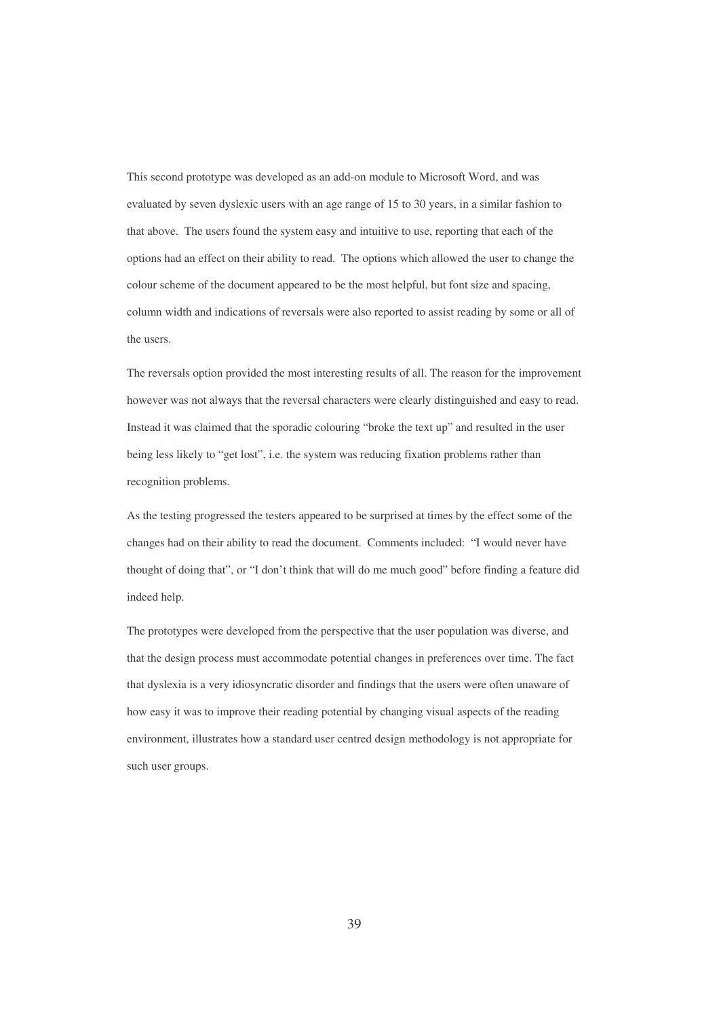This second prototype was developed as an add-on module to Microsoft Word, and was evaluated by seven dyslexic users with an age range of 15 to 30 years, in a similar fashion to that above. The users found the system easy and intuitive to use, reporting that each of the options had an effect on their ability to read. The options which allowed the user to change the colour scheme of the document appeared to be the most helpful, but font size and spacing, column width and indications of reversals were also reported to assist reading by some or all of the users.

The reversals option provided the most interesting results of all. The reason for the improvement however was not always that the reversal characters were clearly distinguished and easy to read. Instead it was claimed that the sporadic colouring "broke the text up" and resulted in the user being less likely to "get lost", i.e. the system was reducing fixation problems rather than recognition problems.

As the testing progressed the testers appeared to be surprised at times by the effect some of the changes had on their ability to read the document. Comments included: "I would never have thought of doing that", or "I don't think that will do me much good" before finding a feature did indeed help.

The prototypes were developed from the perspective that the user population was diverse, and that the design process must accommodate potential changes in preferences over time. The fact that dyslexia is a very idiosyncratic disorder and findings that the users were often unaware of how easy it was to improve their reading potential by changing visual aspects of the reading environment, illustrates how a standard user centred design methodology is not appropriate for such user groups.

39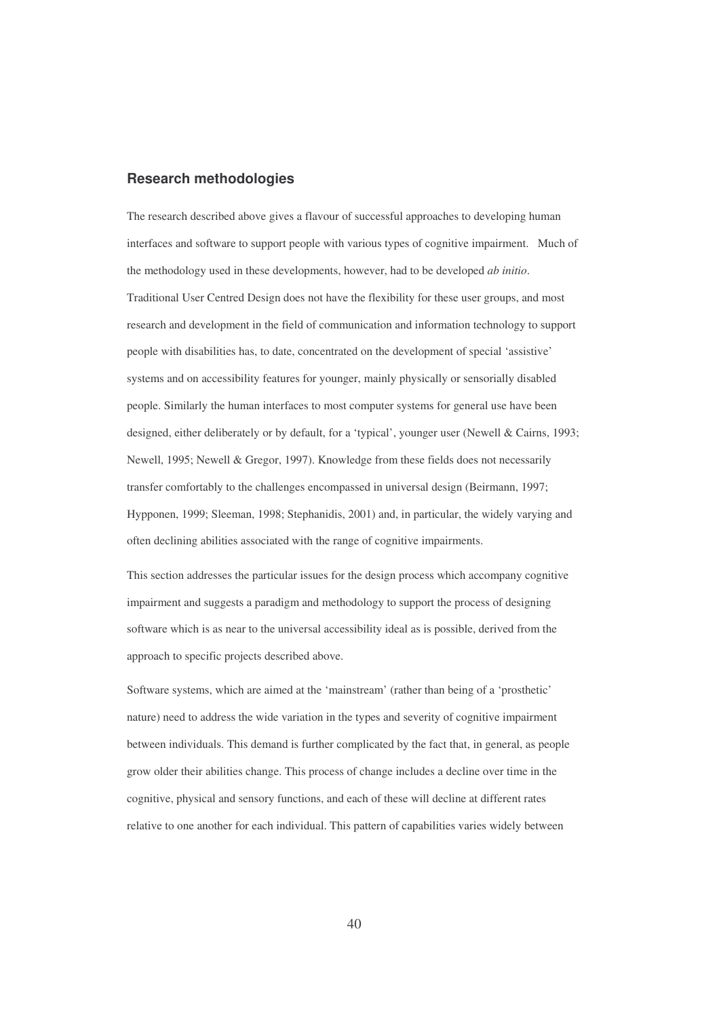# **Research methodologies**

The research described above gives a flavour of successful approaches to developing human interfaces and software to support people with various types of cognitive impairment. Much of the methodology used in these developments, however, had to be developed *ab initio*. Traditional User Centred Design does not have the flexibility for these user groups, and most research and development in the field of communication and information technology to support people with disabilities has, to date, concentrated on the development of special 'assistive' systems and on accessibility features for younger, mainly physically or sensorially disabled people. Similarly the human interfaces to most computer systems for general use have been designed, either deliberately or by default, for a 'typical', younger user (Newell & Cairns, 1993; Newell, 1995; Newell & Gregor, 1997). Knowledge from these fields does not necessarily transfer comfortably to the challenges encompassed in universal design (Beirmann, 1997; Hypponen, 1999; Sleeman, 1998; Stephanidis, 2001) and, in particular, the widely varying and often declining abilities associated with the range of cognitive impairments.

This section addresses the particular issues for the design process which accompany cognitive impairment and suggests a paradigm and methodology to support the process of designing software which is as near to the universal accessibility ideal as is possible, derived from the approach to specific projects described above.

Software systems, which are aimed at the 'mainstream' (rather than being of a 'prosthetic' nature) need to address the wide variation in the types and severity of cognitive impairment between individuals. This demand is further complicated by the fact that, in general, as people grow older their abilities change. This process of change includes a decline over time in the cognitive, physical and sensory functions, and each of these will decline at different rates relative to one another for each individual. This pattern of capabilities varies widely between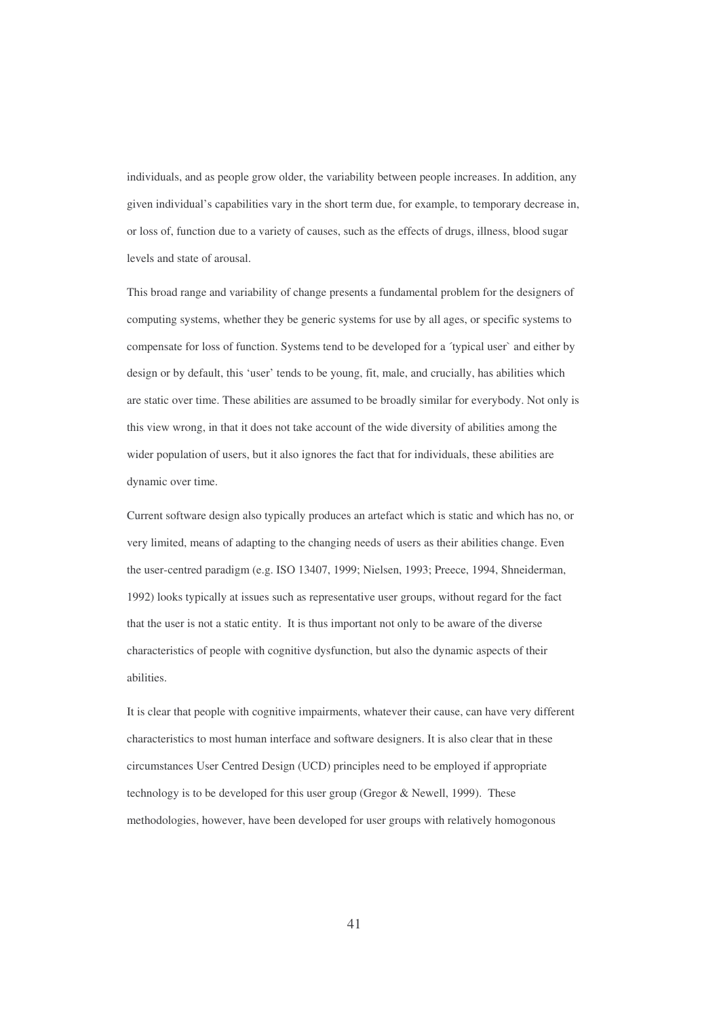individuals, and as people grow older, the variability between people increases. In addition, any given individual's capabilities vary in the short term due, for example, to temporary decrease in, or loss of, function due to a variety of causes, such as the effects of drugs, illness, blood sugar levels and state of arousal.

This broad range and variability of change presents a fundamental problem for the designers of computing systems, whether they be generic systems for use by all ages, or specific systems to compensate for loss of function. Systems tend to be developed for a 'typical user' and either by design or by default, this 'user' tends to be young, fit, male, and crucially, has abilities which are static over time. These abilities are assumed to be broadly similar for everybody. Not only is this view wrong, in that it does not take account of the wide diversity of abilities among the wider population of users, but it also ignores the fact that for individuals, these abilities are dynamic over time.

Current software design also typically produces an artefact which is static and which has no, or very limited, means of adapting to the changing needs of users as their abilities change. Even the user-centred paradigm (e.g. ISO 13407, 1999; Nielsen, 1993; Preece, 1994, Shneiderman, 1992) looks typically at issues such as representative user groups, without regard for the fact that the user is not a static entity. It is thus important not only to be aware of the diverse characteristics of people with cognitive dysfunction, but also the dynamic aspects of their abilities.

It is clear that people with cognitive impairments, whatever their cause, can have very different characteristics to most human interface and software designers. It is also clear that in these circumstances User Centred Design (UCD) principles need to be employed if appropriate technology is to be developed for this user group (Gregor & Newell, 1999). These methodologies, however, have been developed for user groups with relatively homogonous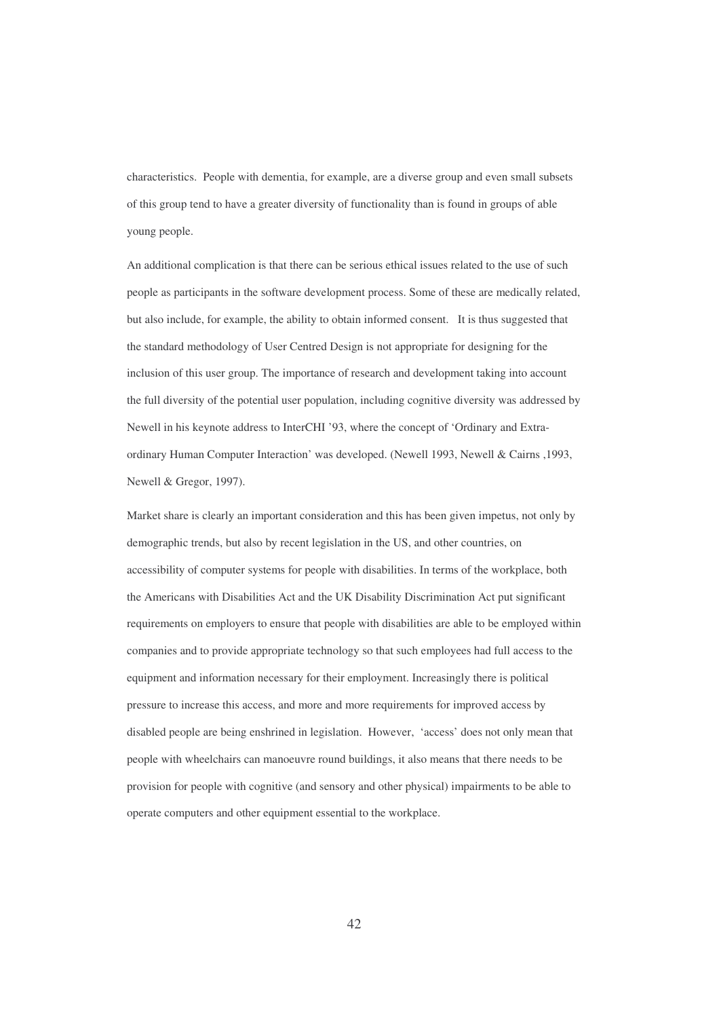characteristics. People with dementia, for example, are a diverse group and even small subsets of this group tend to have a greater diversity of functionality than is found in groups of able young people.

An additional complication is that there can be serious ethical issues related to the use of such people as participants in the software development process. Some of these are medically related, but also include, for example, the ability to obtain informed consent. It is thus suggested that the standard methodology of User Centred Design is not appropriate for designing for the inclusion of this user group. The importance of research and development taking into account the full diversity of the potential user population, including cognitive diversity was addressed by Newell in his keynote address to InterCHI '93, where the concept of 'Ordinary and Extraordinary Human Computer Interaction' was developed. (Newell 1993, Newell & Cairns ,1993, Newell & Gregor, 1997).

Market share is clearly an important consideration and this has been given impetus, not only by demographic trends, but also by recent legislation in the US, and other countries, on accessibility of computer systems for people with disabilities. In terms of the workplace, both the Americans with Disabilities Act and the UK Disability Discrimination Act put significant requirements on employers to ensure that people with disabilities are able to be employed within companies and to provide appropriate technology so that such employees had full access to the equipment and information necessary for their employment. Increasingly there is political pressure to increase this access, and more and more requirements for improved access by disabled people are being enshrined in legislation. However, 'access' does not only mean that people with wheelchairs can manoeuvre round buildings, it also means that there needs to be provision for people with cognitive (and sensory and other physical) impairments to be able to operate computers and other equipment essential to the workplace.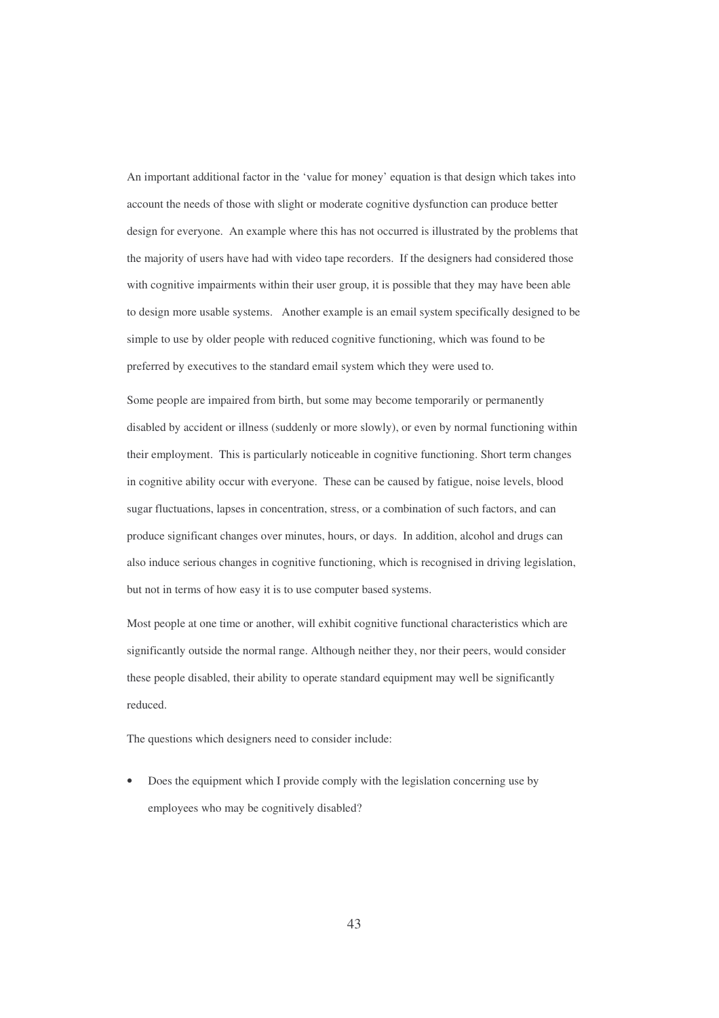An important additional factor in the 'value for money' equation is that design which takes into account the needs of those with slight or moderate cognitive dysfunction can produce better design for everyone. An example where this has not occurred is illustrated by the problems that the majority of users have had with video tape recorders. If the designers had considered those with cognitive impairments within their user group, it is possible that they may have been able to design more usable systems. Another example is an email system specifically designed to be simple to use by older people with reduced cognitive functioning, which was found to be preferred by executives to the standard email system which they were used to.

Some people are impaired from birth, but some may become temporarily or permanently disabled by accident or illness (suddenly or more slowly), or even by normal functioning within their employment. This is particularly noticeable in cognitive functioning. Short term changes in cognitive ability occur with everyone. These can be caused by fatigue, noise levels, blood sugar fluctuations, lapses in concentration, stress, or a combination of such factors, and can produce significant changes over minutes, hours, or days. In addition, alcohol and drugs can also induce serious changes in cognitive functioning, which is recognised in driving legislation, but not in terms of how easy it is to use computer based systems.

Most people at one time or another, will exhibit cognitive functional characteristics which are significantly outside the normal range. Although neither they, nor their peers, would consider these people disabled, their ability to operate standard equipment may well be significantly reduced.

The questions which designers need to consider include:

• Does the equipment which I provide comply with the legislation concerning use by employees who may be cognitively disabled?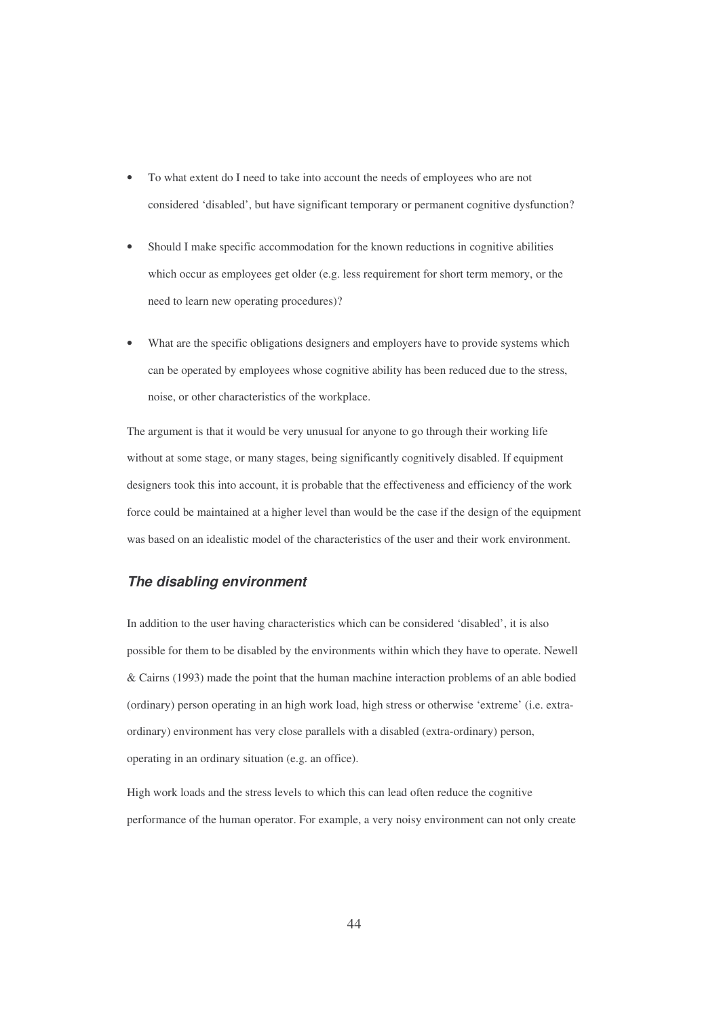- To what extent do I need to take into account the needs of employees who are not considered 'disabled', but have significant temporary or permanent cognitive dysfunction?
- Should I make specific accommodation for the known reductions in cognitive abilities which occur as employees get older (e.g. less requirement for short term memory, or the need to learn new operating procedures)?
- What are the specific obligations designers and employers have to provide systems which can be operated by employees whose cognitive ability has been reduced due to the stress, noise, or other characteristics of the workplace.

The argument is that it would be very unusual for anyone to go through their working life without at some stage, or many stages, being significantly cognitively disabled. If equipment designers took this into account, it is probable that the effectiveness and efficiency of the work force could be maintained at a higher level than would be the case if the design of the equipment was based on an idealistic model of the characteristics of the user and their work environment.

### *The disabling environment*

In addition to the user having characteristics which can be considered 'disabled', it is also possible for them to be disabled by the environments within which they have to operate. Newell & Cairns (1993) made the point that the human machine interaction problems of an able bodied (ordinary) person operating in an high work load, high stress or otherwise 'extreme' (i.e. extraordinary) environment has very close parallels with a disabled (extra-ordinary) person, operating in an ordinary situation (e.g. an office).

High work loads and the stress levels to which this can lead often reduce the cognitive performance of the human operator. For example, a very noisy environment can not only create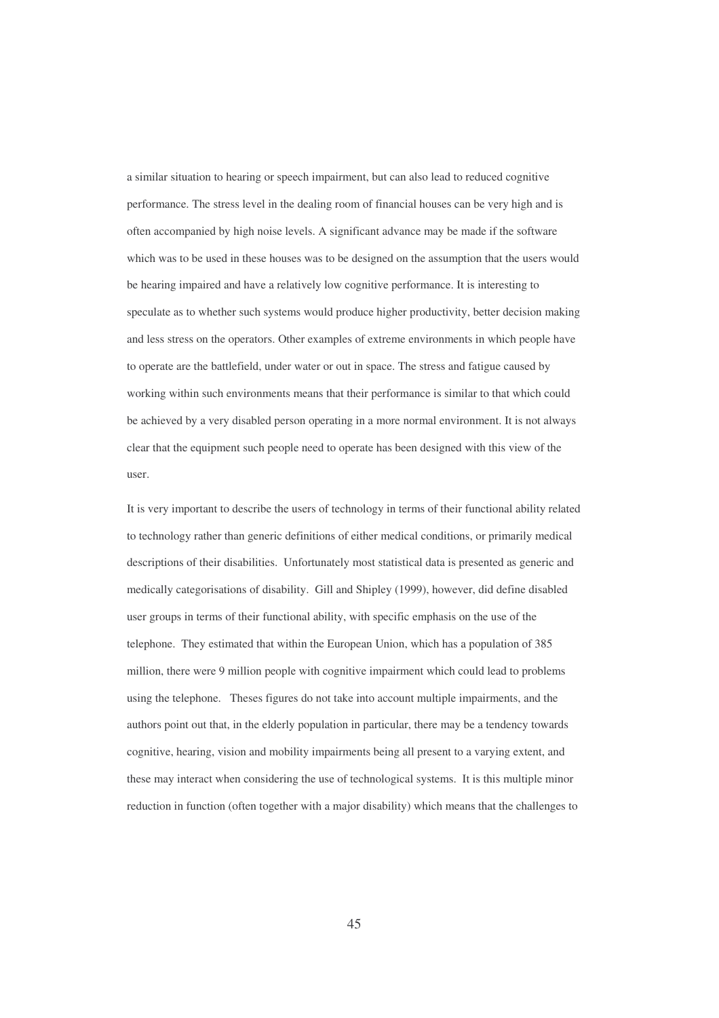a similar situation to hearing or speech impairment, but can also lead to reduced cognitive performance. The stress level in the dealing room of financial houses can be very high and is often accompanied by high noise levels. A significant advance may be made if the software which was to be used in these houses was to be designed on the assumption that the users would be hearing impaired and have a relatively low cognitive performance. It is interesting to speculate as to whether such systems would produce higher productivity, better decision making and less stress on the operators. Other examples of extreme environments in which people have to operate are the battlefield, under water or out in space. The stress and fatigue caused by working within such environments means that their performance is similar to that which could be achieved by a very disabled person operating in a more normal environment. It is not always clear that the equipment such people need to operate has been designed with this view of the user.

It is very important to describe the users of technology in terms of their functional ability related to technology rather than generic definitions of either medical conditions, or primarily medical descriptions of their disabilities. Unfortunately most statistical data is presented as generic and medically categorisations of disability. Gill and Shipley (1999), however, did define disabled user groups in terms of their functional ability, with specific emphasis on the use of the telephone. They estimated that within the European Union, which has a population of 385 million, there were 9 million people with cognitive impairment which could lead to problems using the telephone. Theses figures do not take into account multiple impairments, and the authors point out that, in the elderly population in particular, there may be a tendency towards cognitive, hearing, vision and mobility impairments being all present to a varying extent, and these may interact when considering the use of technological systems. It is this multiple minor reduction in function (often together with a major disability) which means that the challenges to

45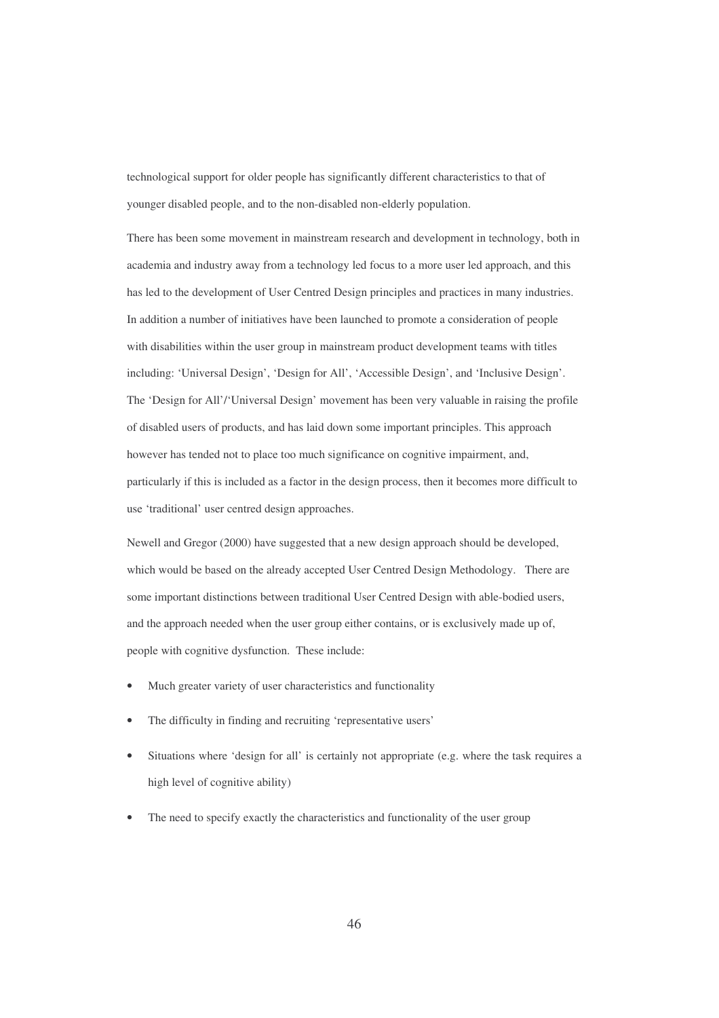technological support for older people has significantly different characteristics to that of younger disabled people, and to the non-disabled non-elderly population.

There has been some movement in mainstream research and development in technology, both in academia and industry away from a technology led focus to a more user led approach, and this has led to the development of User Centred Design principles and practices in many industries. In addition a number of initiatives have been launched to promote a consideration of people with disabilities within the user group in mainstream product development teams with titles including: 'Universal Design', 'Design for All', 'Accessible Design', and 'Inclusive Design'. The 'Design for All'/'Universal Design' movement has been very valuable in raising the profile of disabled users of products, and has laid down some important principles. This approach however has tended not to place too much significance on cognitive impairment, and, particularly if this is included as a factor in the design process, then it becomes more difficult to use 'traditional' user centred design approaches.

Newell and Gregor (2000) have suggested that a new design approach should be developed, which would be based on the already accepted User Centred Design Methodology. There are some important distinctions between traditional User Centred Design with able-bodied users, and the approach needed when the user group either contains, or is exclusively made up of, people with cognitive dysfunction. These include:

- Much greater variety of user characteristics and functionality
- The difficulty in finding and recruiting 'representative users'
- Situations where 'design for all' is certainly not appropriate (e.g. where the task requires a high level of cognitive ability)
- The need to specify exactly the characteristics and functionality of the user group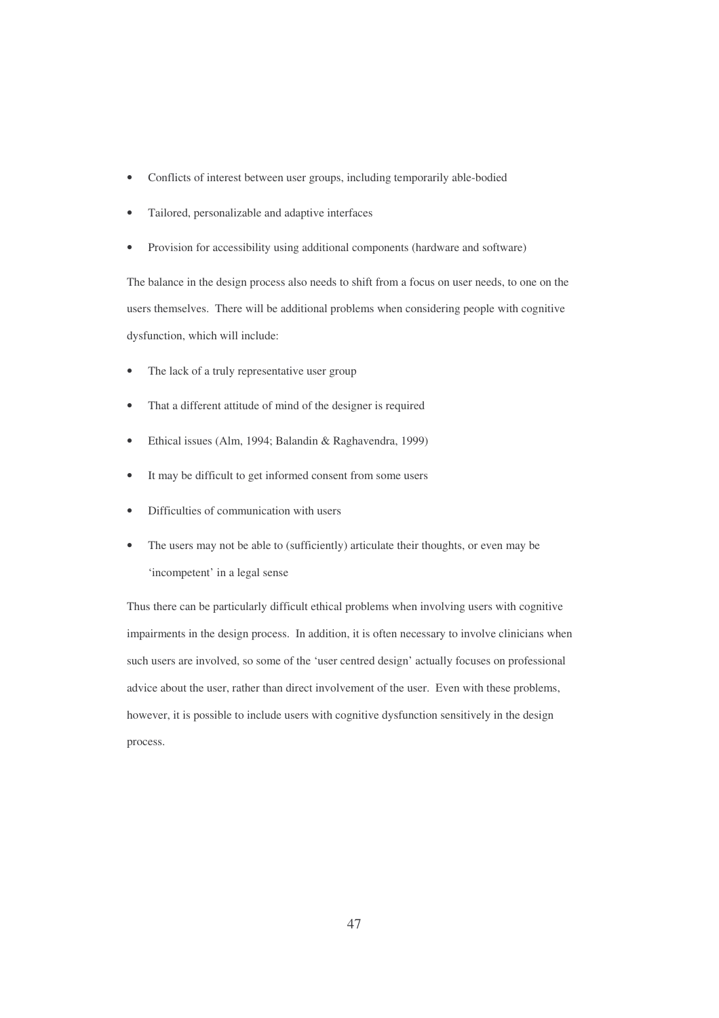- Conflicts of interest between user groups, including temporarily able-bodied
- Tailored, personalizable and adaptive interfaces
- Provision for accessibility using additional components (hardware and software)

The balance in the design process also needs to shift from a focus on user needs, to one on the users themselves. There will be additional problems when considering people with cognitive dysfunction, which will include:

- The lack of a truly representative user group
- That a different attitude of mind of the designer is required
- Ethical issues (Alm, 1994; Balandin & Raghavendra, 1999)
- It may be difficult to get informed consent from some users
- Difficulties of communication with users
- The users may not be able to (sufficiently) articulate their thoughts, or even may be 'incompetent' in a legal sense

Thus there can be particularly difficult ethical problems when involving users with cognitive impairments in the design process. In addition, it is often necessary to involve clinicians when such users are involved, so some of the 'user centred design' actually focuses on professional advice about the user, rather than direct involvement of the user. Even with these problems, however, it is possible to include users with cognitive dysfunction sensitively in the design process.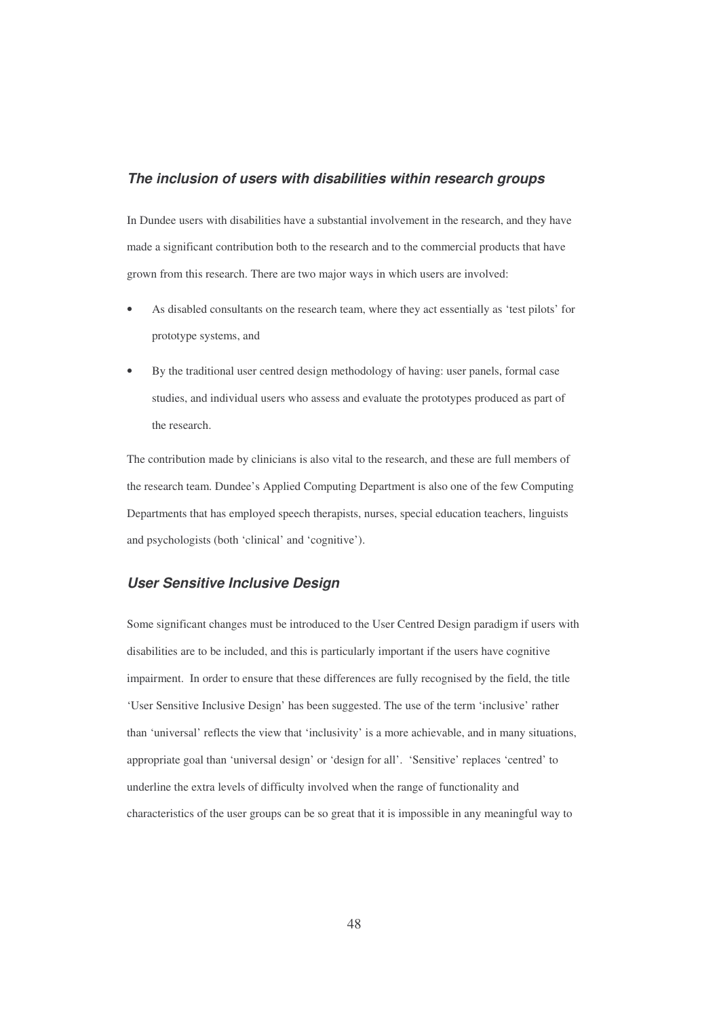# *The inclusion of users with disabilities within research groups*

In Dundee users with disabilities have a substantial involvement in the research, and they have made a significant contribution both to the research and to the commercial products that have grown from this research. There are two major ways in which users are involved:

- As disabled consultants on the research team, where they act essentially as 'test pilots' for prototype systems, and
- By the traditional user centred design methodology of having: user panels, formal case studies, and individual users who assess and evaluate the prototypes produced as part of the research.

The contribution made by clinicians is also vital to the research, and these are full members of the research team. Dundee's Applied Computing Department is also one of the few Computing Departments that has employed speech therapists, nurses, special education teachers, linguists and psychologists (both 'clinical' and 'cognitive').

# *User Sensitive Inclusive Design*

Some significant changes must be introduced to the User Centred Design paradigm if users with disabilities are to be included, and this is particularly important if the users have cognitive impairment. In order to ensure that these differences are fully recognised by the field, the title 'User Sensitive Inclusive Design' has been suggested. The use of the term 'inclusive' rather than 'universal' reflects the view that 'inclusivity' is a more achievable, and in many situations, appropriate goal than 'universal design' or 'design for all'. 'Sensitive' replaces 'centred' to underline the extra levels of difficulty involved when the range of functionality and characteristics of the user groups can be so great that it is impossible in any meaningful way to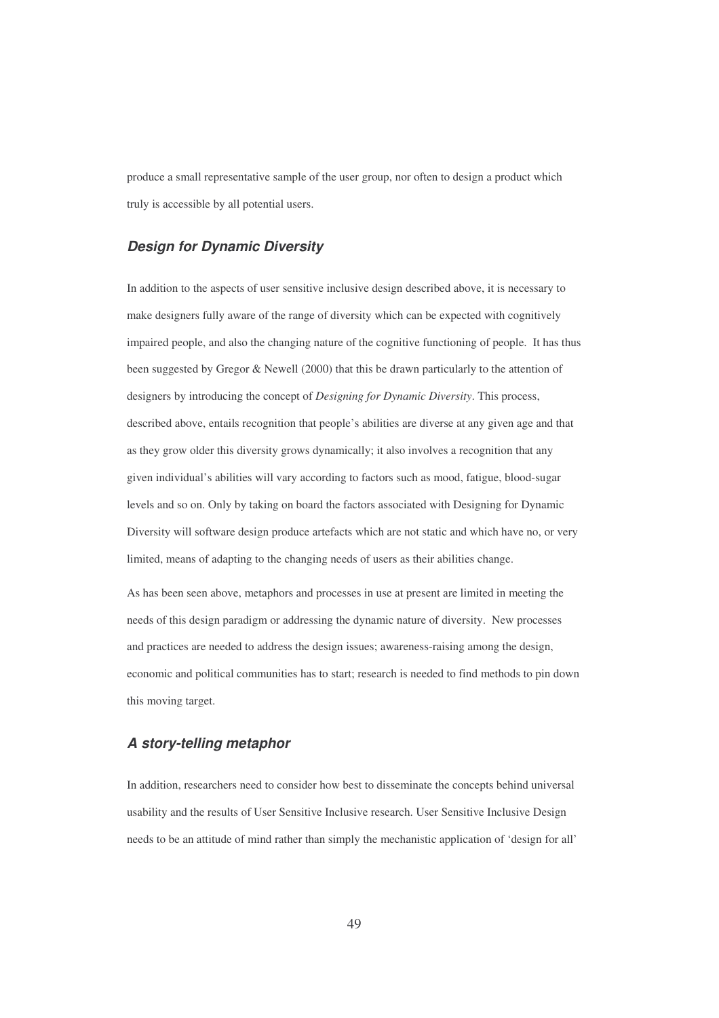produce a small representative sample of the user group, nor often to design a product which truly is accessible by all potential users.

### *Design for Dynamic Diversity*

In addition to the aspects of user sensitive inclusive design described above, it is necessary to make designers fully aware of the range of diversity which can be expected with cognitively impaired people, and also the changing nature of the cognitive functioning of people. It has thus been suggested by Gregor & Newell (2000) that this be drawn particularly to the attention of designers by introducing the concept of *Designing for Dynamic Diversity*. This process, described above, entails recognition that people's abilities are diverse at any given age and that as they grow older this diversity grows dynamically; it also involves a recognition that any given individual's abilities will vary according to factors such as mood, fatigue, blood-sugar levels and so on. Only by taking on board the factors associated with Designing for Dynamic Diversity will software design produce artefacts which are not static and which have no, or very limited, means of adapting to the changing needs of users as their abilities change.

As has been seen above, metaphors and processes in use at present are limited in meeting the needs of this design paradigm or addressing the dynamic nature of diversity. New processes and practices are needed to address the design issues; awareness-raising among the design, economic and political communities has to start; research is needed to find methods to pin down this moving target.

# *A story-telling metaphor*

In addition, researchers need to consider how best to disseminate the concepts behind universal usability and the results of User Sensitive Inclusive research. User Sensitive Inclusive Design needs to be an attitude of mind rather than simply the mechanistic application of 'design for all'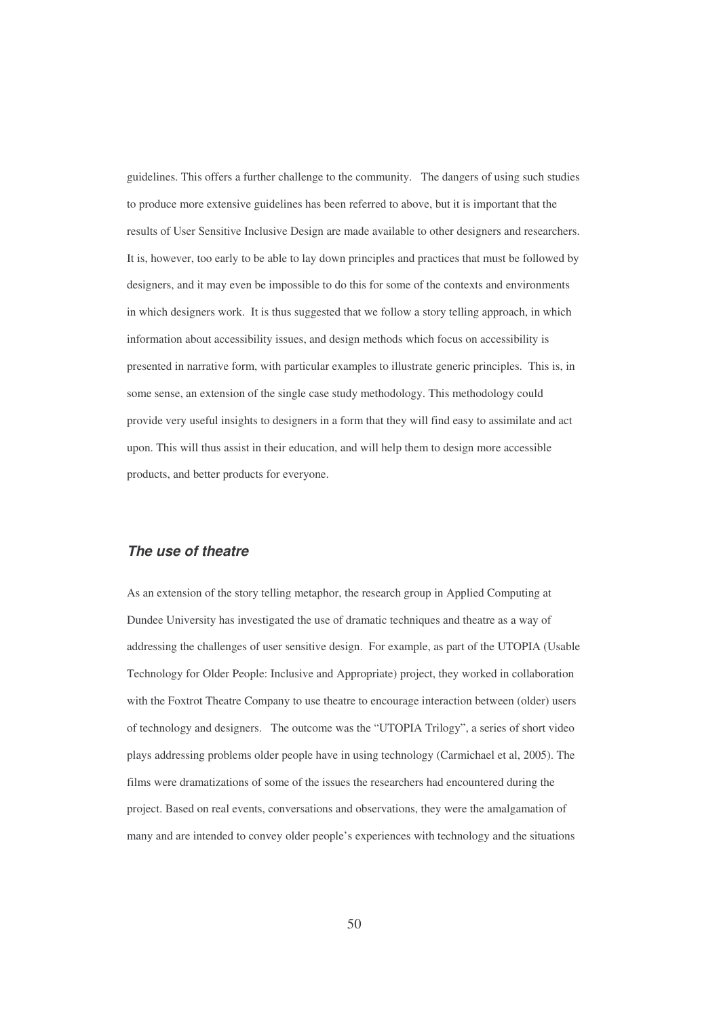guidelines. This offers a further challenge to the community. The dangers of using such studies to produce more extensive guidelines has been referred to above, but it is important that the results of User Sensitive Inclusive Design are made available to other designers and researchers. It is, however, too early to be able to lay down principles and practices that must be followed by designers, and it may even be impossible to do this for some of the contexts and environments in which designers work. It is thus suggested that we follow a story telling approach, in which information about accessibility issues, and design methods which focus on accessibility is presented in narrative form, with particular examples to illustrate generic principles. This is, in some sense, an extension of the single case study methodology. This methodology could provide very useful insights to designers in a form that they will find easy to assimilate and act upon. This will thus assist in their education, and will help them to design more accessible products, and better products for everyone.

# *The use of theatre*

As an extension of the story telling metaphor, the research group in Applied Computing at Dundee University has investigated the use of dramatic techniques and theatre as a way of addressing the challenges of user sensitive design. For example, as part of the UTOPIA (Usable Technology for Older People: Inclusive and Appropriate) project, they worked in collaboration with the Foxtrot Theatre Company to use theatre to encourage interaction between (older) users of technology and designers. The outcome was the "UTOPIA Trilogy", a series of short video plays addressing problems older people have in using technology (Carmichael et al, 2005). The films were dramatizations of some of the issues the researchers had encountered during the project. Based on real events, conversations and observations, they were the amalgamation of many and are intended to convey older people's experiences with technology and the situations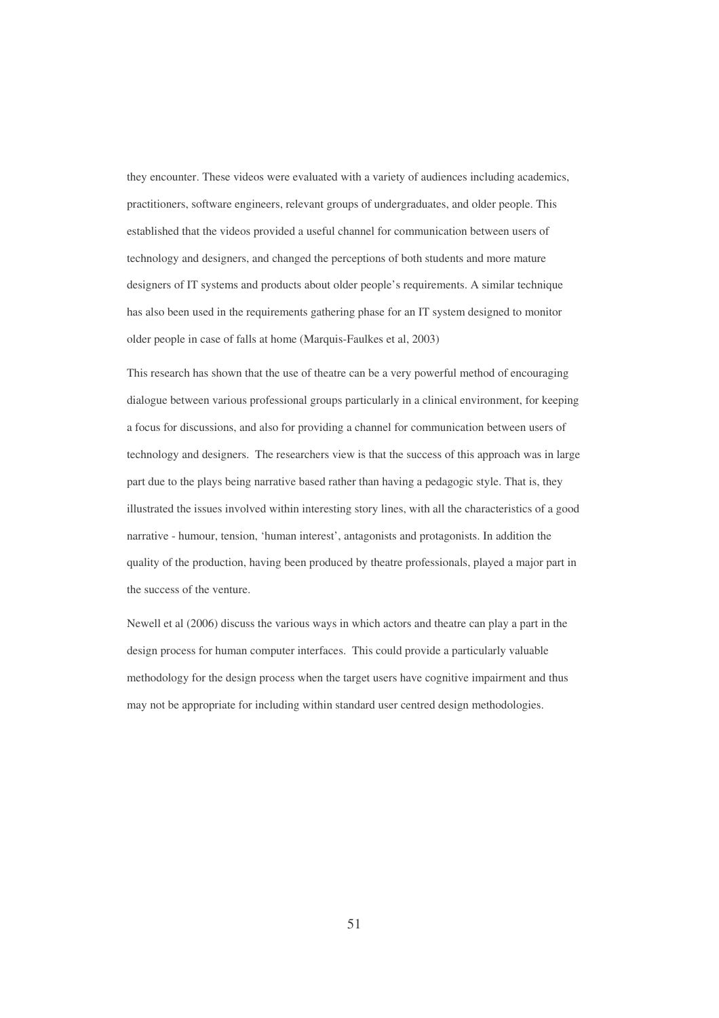they encounter. These videos were evaluated with a variety of audiences including academics, practitioners, software engineers, relevant groups of undergraduates, and older people. This established that the videos provided a useful channel for communication between users of technology and designers, and changed the perceptions of both students and more mature designers of IT systems and products about older people's requirements. A similar technique has also been used in the requirements gathering phase for an IT system designed to monitor older people in case of falls at home (Marquis-Faulkes et al, 2003)

This research has shown that the use of theatre can be a very powerful method of encouraging dialogue between various professional groups particularly in a clinical environment, for keeping a focus for discussions, and also for providing a channel for communication between users of technology and designers. The researchers view is that the success of this approach was in large part due to the plays being narrative based rather than having a pedagogic style. That is, they illustrated the issues involved within interesting story lines, with all the characteristics of a good narrative - humour, tension, 'human interest', antagonists and protagonists. In addition the quality of the production, having been produced by theatre professionals, played a major part in the success of the venture.

Newell et al (2006) discuss the various ways in which actors and theatre can play a part in the design process for human computer interfaces. This could provide a particularly valuable methodology for the design process when the target users have cognitive impairment and thus may not be appropriate for including within standard user centred design methodologies.

51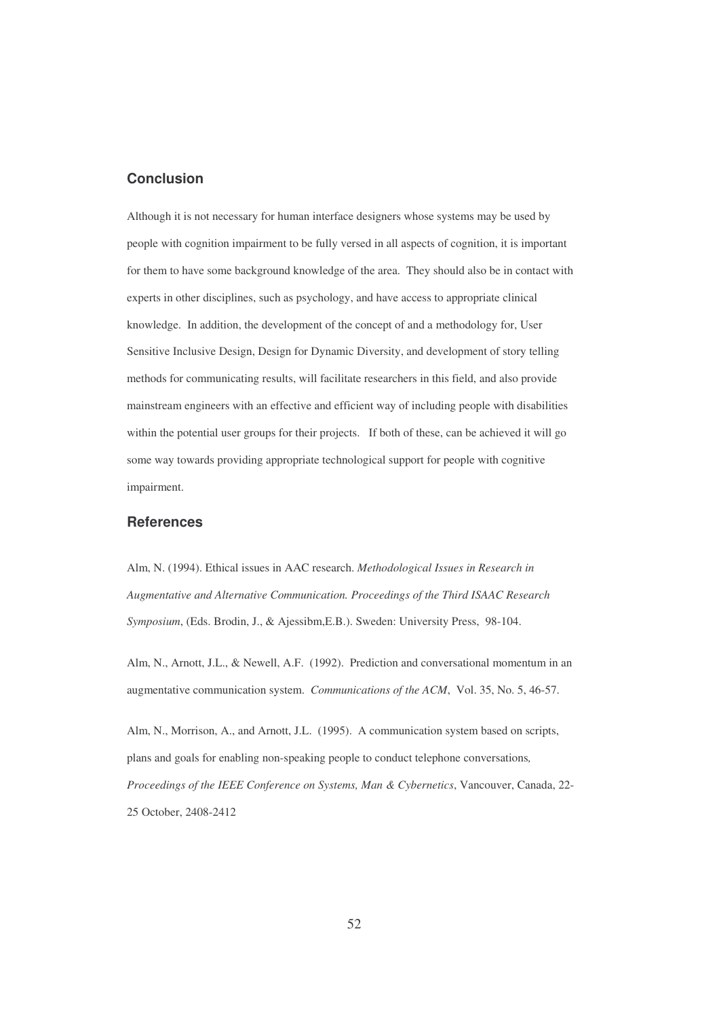# **Conclusion**

Although it is not necessary for human interface designers whose systems may be used by people with cognition impairment to be fully versed in all aspects of cognition, it is important for them to have some background knowledge of the area. They should also be in contact with experts in other disciplines, such as psychology, and have access to appropriate clinical knowledge. In addition, the development of the concept of and a methodology for, User Sensitive Inclusive Design, Design for Dynamic Diversity, and development of story telling methods for communicating results, will facilitate researchers in this field, and also provide mainstream engineers with an effective and efficient way of including people with disabilities within the potential user groups for their projects. If both of these, can be achieved it will go some way towards providing appropriate technological support for people with cognitive impairment.

### **References**

Alm, N. (1994). Ethical issues in AAC research. *Methodological Issues in Research in Augmentative and Alternative Communication. Proceedings of the Third ISAAC Research Symposium*, (Eds. Brodin, J., & Ajessibm,E.B.). Sweden: University Press, 98-104.

Alm, N., Arnott, J.L., & Newell, A.F. (1992). Prediction and conversational momentum in an augmentative communication system. *Communications of the ACM*, Vol. 35, No. 5, 46-57.

Alm, N., Morrison, A., and Arnott, J.L. (1995). A communication system based on scripts, plans and goals for enabling non-speaking people to conduct telephone conversations*, Proceedings of the IEEE Conference on Systems, Man & Cybernetics*, Vancouver, Canada, 22- 25 October, 2408-2412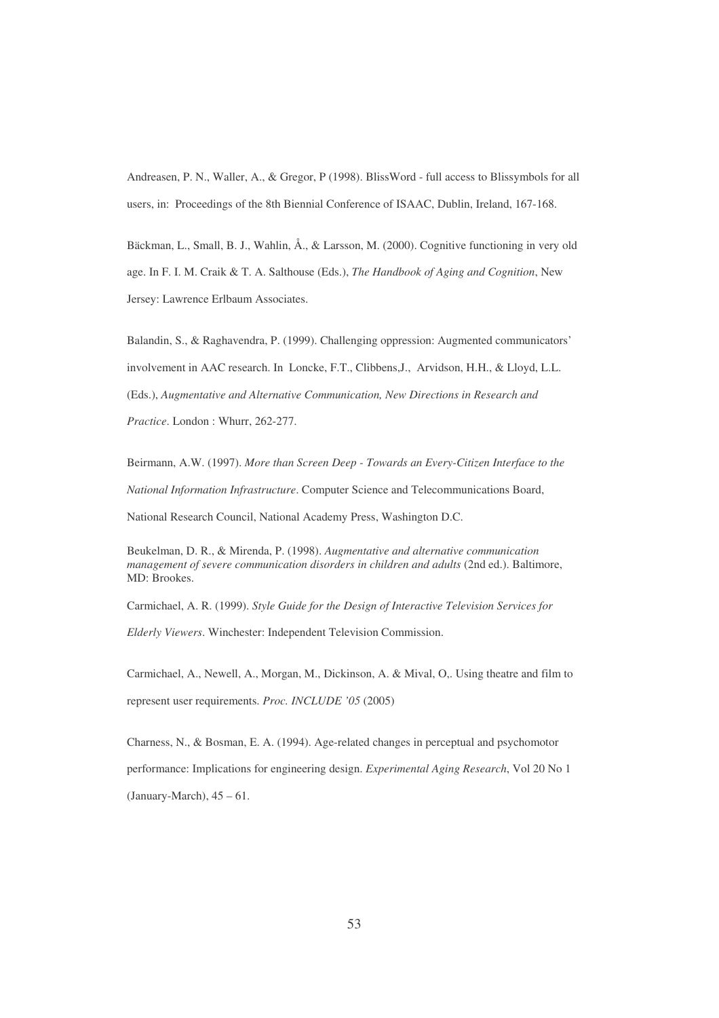Andreasen, P. N., Waller, A., & Gregor, P (1998). BlissWord - full access to Blissymbols for all users, in: Proceedings of the 8th Biennial Conference of ISAAC, Dublin, Ireland, 167-168.

Bäckman, L., Small, B. J., Wahlin, Å., & Larsson, M. (2000). Cognitive functioning in very old age. In F. I. M. Craik & T. A. Salthouse (Eds.), *The Handbook of Aging and Cognition*, New Jersey: Lawrence Erlbaum Associates.

Balandin, S., & Raghavendra, P. (1999). Challenging oppression: Augmented communicators' involvement in AAC research. In Loncke, F.T., Clibbens,J., Arvidson, H.H., & Lloyd, L.L. (Eds.), *Augmentative and Alternative Communication, New Directions in Research and Practice*. London : Whurr, 262-277.

Beirmann, A.W. (1997). *More than Screen Deep - Towards an Every-Citizen Interface to the National Information Infrastructure*. Computer Science and Telecommunications Board, National Research Council, National Academy Press, Washington D.C.

Beukelman, D. R., & Mirenda, P. (1998). *Augmentative and alternative communication management of severe communication disorders in children and adults* (2nd ed.). Baltimore, MD: Brookes.

Carmichael, A. R. (1999). *Style Guide for the Design of Interactive Television Services for*

*Elderly Viewers*. Winchester: Independent Television Commission.

Carmichael, A., Newell, A., Morgan, M., Dickinson, A. & Mival, O,. Using theatre and film to represent user requirements. *Proc. INCLUDE '05* (2005)

Charness, N., & Bosman, E. A. (1994). Age-related changes in perceptual and psychomotor performance: Implications for engineering design. *Experimental Aging Research*, Vol 20 No 1 (January-March),  $45 - 61$ .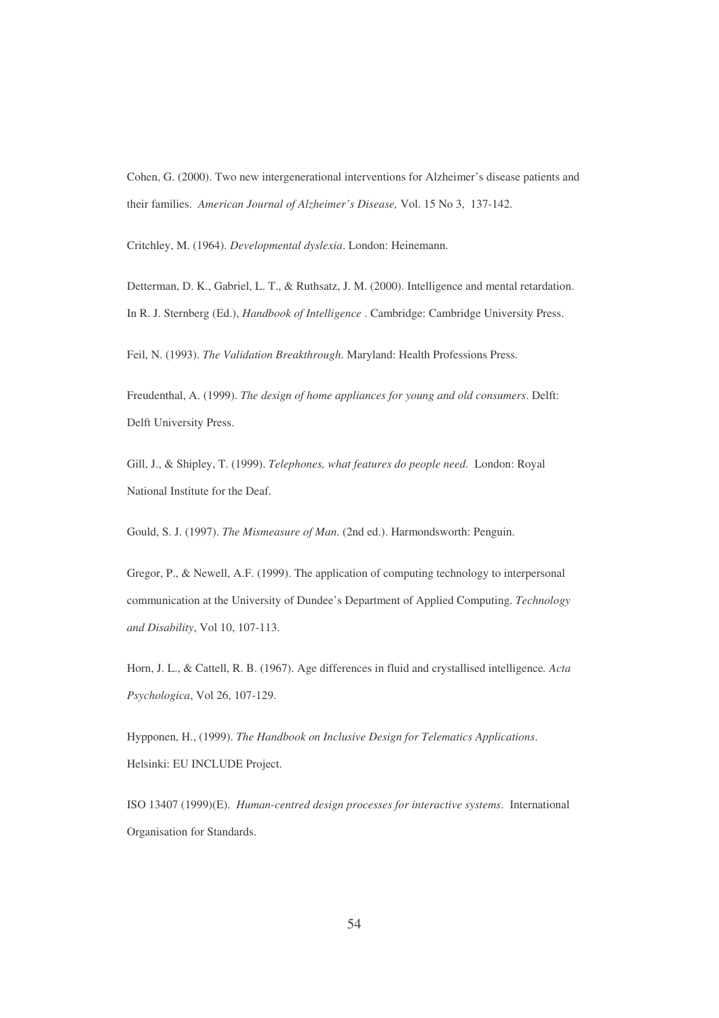Cohen, G. (2000). Two new intergenerational interventions for Alzheimer's disease patients and their families. *American Journal of Alzheimer's Disease,* Vol. 15 No 3, 137-142.

Critchley, M. (1964). *Developmental dyslexia*. London: Heinemann.

Detterman, D. K., Gabriel, L. T., & Ruthsatz, J. M. (2000). Intelligence and mental retardation. In R. J. Sternberg (Ed.), *Handbook of Intelligence* . Cambridge: Cambridge University Press.

Feil, N. (1993). *The Validation Breakthrough*. Maryland: Health Professions Press.

Freudenthal, A. (1999). *The design of home appliances for young and old consumers*. Delft: Delft University Press.

Gill, J., & Shipley, T. (1999). *Telephones, what features do people need*. London: Royal National Institute for the Deaf.

Gould, S. J. (1997). *The Mismeasure of Man*. (2nd ed.). Harmondsworth: Penguin.

Gregor, P., & Newell, A.F. (1999). The application of computing technology to interpersonal communication at the University of Dundee's Department of Applied Computing. *Technology and Disability*, Vol 10, 107-113.

Horn, J. L., & Cattell, R. B. (1967). Age differences in fluid and crystallised intelligence*. Acta Psychologica*, Vol 26, 107-129.

Hypponen, H., (1999). *The Handbook on Inclusive Design for Telematics Applications*. Helsinki: EU INCLUDE Project.

ISO 13407 (1999)(E). *Human-centred design processes for interactive systems*. International Organisation for Standards.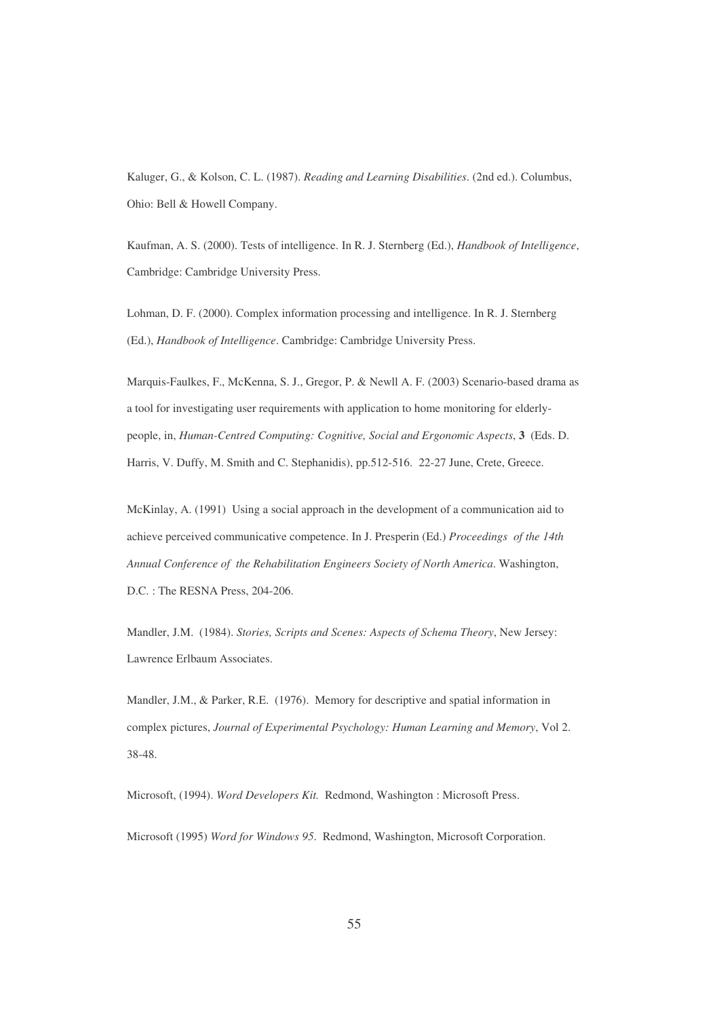Kaluger, G., & Kolson, C. L. (1987). *Reading and Learning Disabilities*. (2nd ed.). Columbus, Ohio: Bell & Howell Company.

Kaufman, A. S. (2000). Tests of intelligence. In R. J. Sternberg (Ed.), *Handbook of Intelligence*, Cambridge: Cambridge University Press.

Lohman, D. F. (2000). Complex information processing and intelligence. In R. J. Sternberg (Ed.), *Handbook of Intelligence*. Cambridge: Cambridge University Press.

Marquis-Faulkes, F., McKenna, S. J., Gregor, P. & Newll A. F. (2003) Scenario-based drama as a tool for investigating user requirements with application to home monitoring for elderlypeople, in, *Human-Centred Computing: Cognitive, Social and Ergonomic Aspects*, **3** (Eds. D. Harris, V. Duffy, M. Smith and C. Stephanidis), pp.512-516. 22-27 June, Crete, Greece.

McKinlay, A. (1991) Using a social approach in the development of a communication aid to achieve perceived communicative competence. In J. Presperin (Ed.) *Proceedings of the 14th Annual Conference of the Rehabilitation Engineers Society of North America*. Washington, D.C. : The RESNA Press, 204-206.

Mandler, J.M. (1984). *Stories, Scripts and Scenes: Aspects of Schema Theory*, New Jersey: Lawrence Erlbaum Associates.

Mandler, J.M., & Parker, R.E. (1976). Memory for descriptive and spatial information in complex pictures, *Journal of Experimental Psychology: Human Learning and Memory*, Vol 2. 38-48.

Microsoft, (1994). *Word Developers Kit.* Redmond, Washington : Microsoft Press.

Microsoft (1995) *Word for Windows 95*. Redmond, Washington, Microsoft Corporation.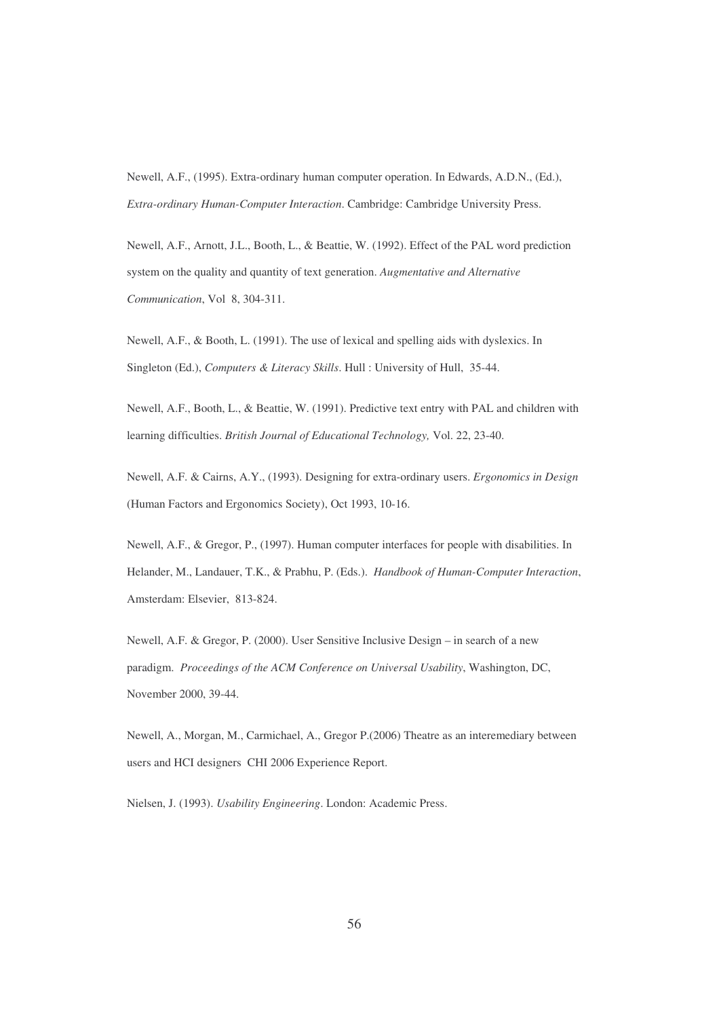Newell, A.F., (1995). Extra-ordinary human computer operation. In Edwards, A.D.N., (Ed.), *Extra-ordinary Human-Computer Interaction*. Cambridge: Cambridge University Press.

Newell, A.F., Arnott, J.L., Booth, L., & Beattie, W. (1992). Effect of the PAL word prediction system on the quality and quantity of text generation. *Augmentative and Alternative Communication*, Vol 8, 304-311.

Newell, A.F., & Booth, L. (1991). The use of lexical and spelling aids with dyslexics. In Singleton (Ed.), *Computers & Literacy Skills*. Hull : University of Hull, 35-44.

Newell, A.F., Booth, L., & Beattie, W. (1991). Predictive text entry with PAL and children with learning difficulties. *British Journal of Educational Technology,* Vol. 22, 23-40.

Newell, A.F. & Cairns, A.Y., (1993). Designing for extra-ordinary users. *Ergonomics in Design* (Human Factors and Ergonomics Society), Oct 1993, 10-16.

Newell, A.F., & Gregor, P., (1997). Human computer interfaces for people with disabilities. In Helander, M., Landauer, T.K., & Prabhu, P. (Eds.). *Handbook of Human-Computer Interaction*, Amsterdam: Elsevier, 813-824.

Newell, A.F. & Gregor, P. (2000). User Sensitive Inclusive Design – in search of a new paradigm. *Proceedings of the ACM Conference on Universal Usability*, Washington, DC, November 2000, 39-44.

Newell, A., Morgan, M., Carmichael, A., Gregor P.(2006) Theatre as an interemediary between users and HCI designers CHI 2006 Experience Report.

Nielsen, J. (1993). *Usability Engineering*. London: Academic Press.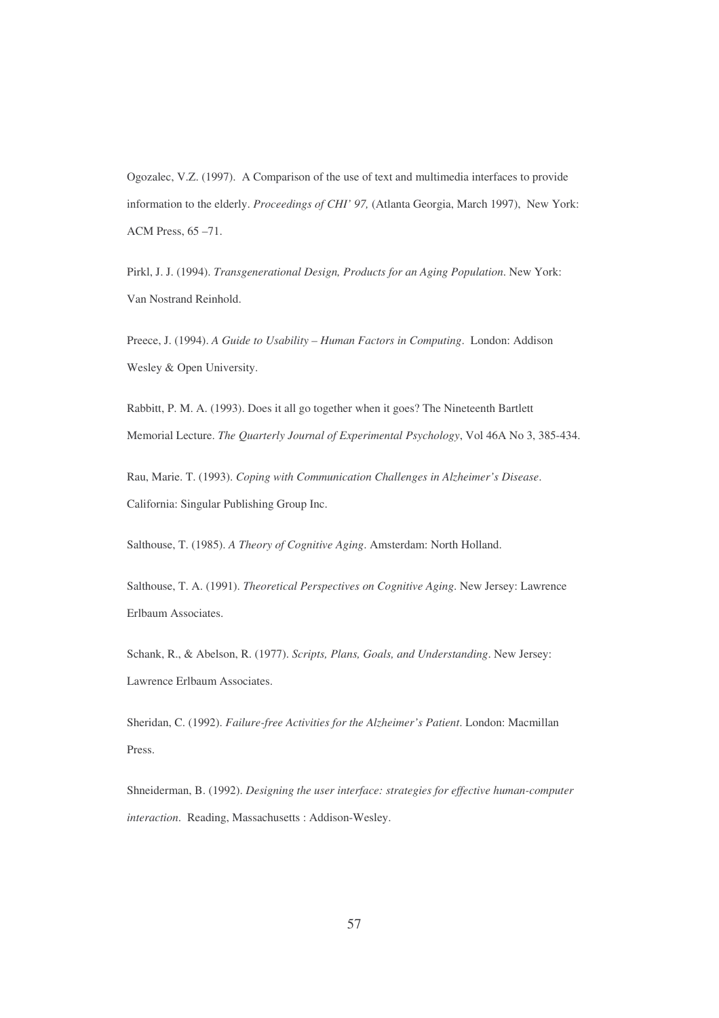Ogozalec, V.Z. (1997). A Comparison of the use of text and multimedia interfaces to provide information to the elderly. *Proceedings of CHI' 97,* (Atlanta Georgia, March 1997), New York: ACM Press, 65 –71.

Pirkl, J. J. (1994). *Transgenerational Design, Products for an Aging Population*. New York: Van Nostrand Reinhold.

Preece, J. (1994). *A Guide to Usability – Human Factors in Computing*. London: Addison Wesley & Open University.

Rabbitt, P. M. A. (1993). Does it all go together when it goes? The Nineteenth Bartlett Memorial Lecture. *The Quarterly Journal of Experimental Psychology*, Vol 46A No 3, 385-434.

Rau, Marie. T. (1993). *Coping with Communication Challenges in Alzheimer's Disease*. California: Singular Publishing Group Inc.

Salthouse, T. (1985). *A Theory of Cognitive Aging*. Amsterdam: North Holland.

Salthouse, T. A. (1991). *Theoretical Perspectives on Cognitive Aging*. New Jersey: Lawrence Erlbaum Associates.

Schank, R., & Abelson, R. (1977). *Scripts, Plans, Goals, and Understanding*. New Jersey: Lawrence Erlbaum Associates.

Sheridan, C. (1992). *Failure-free Activities for the Alzheimer's Patient*. London: Macmillan Press.

Shneiderman, B. (1992). *Designing the user interface: strategies for effective human-computer interaction*. Reading, Massachusetts : Addison-Wesley.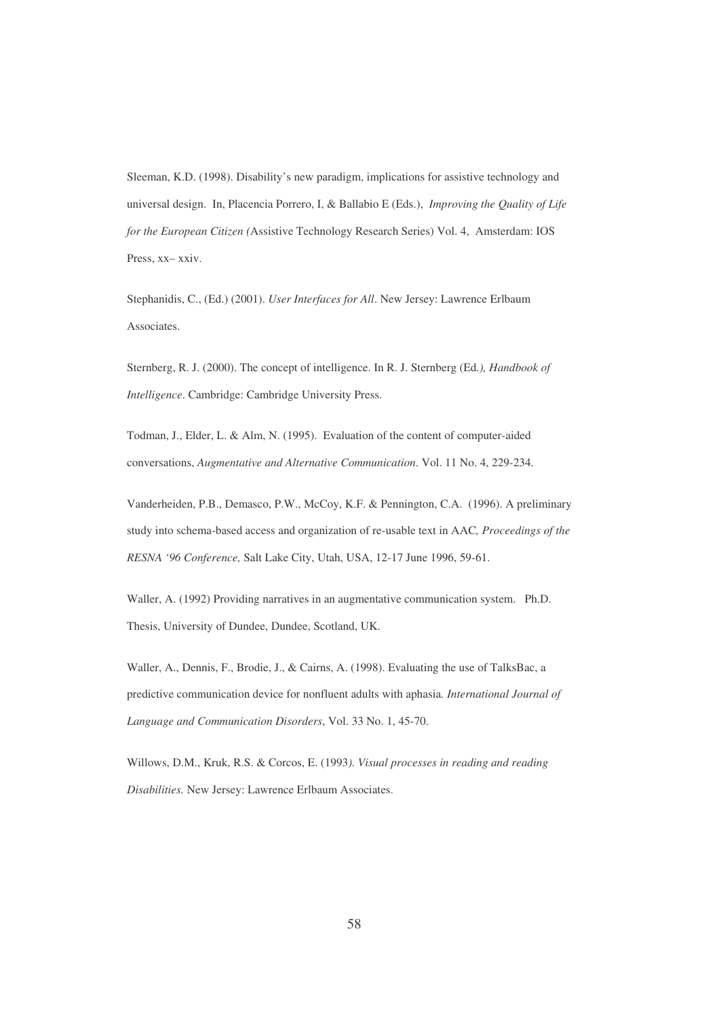Sleeman, K.D. (1998). Disability's new paradigm, implications for assistive technology and universal design. In, Placencia Porrero, I, & Ballabio E (Eds.), *Improving the Quality of Life for the European Citizen (*Assistive Technology Research Series) Vol. 4, Amsterdam: IOS Press, xx– xxiv.

Stephanidis, C., (Ed.) (2001). *User Interfaces for All*. New Jersey: Lawrence Erlbaum Associates.

Sternberg, R. J. (2000). The concept of intelligence. In R. J. Sternberg (Ed*.), Handbook of Intelligence*. Cambridge: Cambridge University Press.

Todman, J., Elder, L. & Alm, N. (1995). Evaluation of the content of computer-aided conversations, *Augmentative and Alternative Communication*. Vol. 11 No. 4, 229-234.

Vanderheiden, P.B., Demasco, P.W., McCoy, K.F. & Pennington, C.A. (1996). A preliminary study into schema-based access and organization of re-usable text in AAC*, Proceedings of the RESNA '96 Conference,* Salt Lake City, Utah, USA, 12-17 June 1996, 59-61.

Waller, A. (1992) Providing narratives in an augmentative communication system. Ph.D. Thesis, University of Dundee, Dundee, Scotland, UK.

Waller, A., Dennis, F., Brodie, J., & Cairns, A. (1998). Evaluating the use of TalksBac, a predictive communication device for nonfluent adults with aphasia*. International Journal of Language and Communication Disorders*, Vol. 33 No. 1, 45-70.

Willows, D.M., Kruk, R.S. & Corcos, E. (1993*). Visual processes in reading and reading Disabilities.* New Jersey: Lawrence Erlbaum Associates.